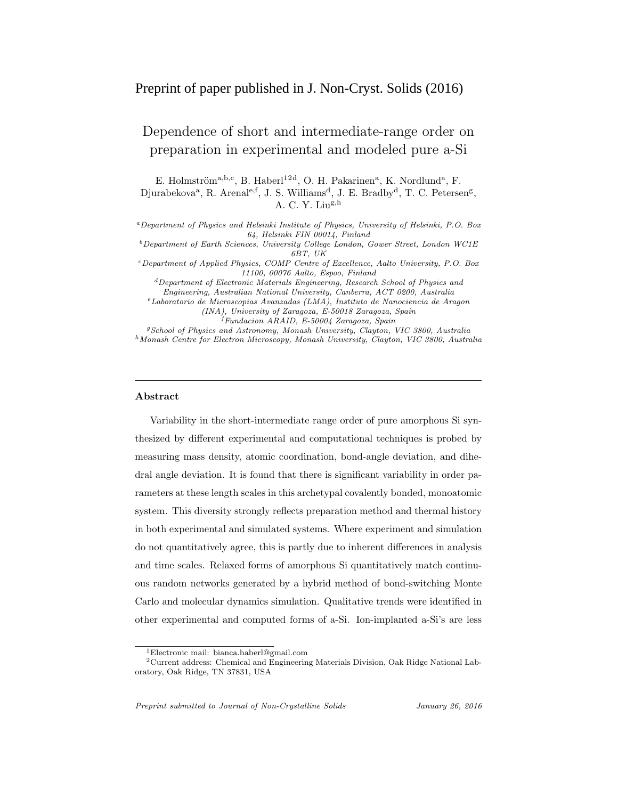# Preprint of paper published in J. Non-Cryst. Solids (2016)

# Dependence of short and intermediate-range order on preparation in experimental and modeled pure a-Si

E. Holmström<sup>a,b,c</sup>, B. Haberl<sup>12d</sup>, O. H. Pakarinen<sup>a</sup>, K. Nordlund<sup>a</sup>, F. Djurabekova<sup>a</sup>, R. Arenal<sup>e,f</sup>, J. S. Williams<sup>d</sup>, J. E. Bradby<sup>d</sup>, T. C. Petersen<sup>g</sup>, A. C. Y. Liu $^{g,h}$ 

<sup>a</sup>Department of Physics and Helsinki Institute of Physics, University of Helsinki, P.O. Box 64, Helsinki FIN 00014, Finland

 $^b$  Department of Earth Sciences, University College London, Gower Street, London WC1E 6BT, UK

<sup>c</sup>Department of Applied Physics, COMP Centre of Excellence, Aalto University, P.O. Box 11100, 00076 Aalto, Espoo, Finland

 ${}^{d}$ Department of Electronic Materials Engineering, Research School of Physics and Engineering, Australian National University, Canberra, ACT 0200, Australia

<sup>e</sup>Laboratorio de Microscopias Avanzadas (LMA), Instituto de Nanociencia de Aragon

(INA), University of Zaragoza, E-50018 Zaragoza, Spain <sup>f</sup>Fundacion ARAID, E-50004 Zaragoza, Spain

<sup>g</sup>School of Physics and Astronomy, Monash University, Clayton, VIC 3800, Australia

 $^h$ Monash Centre for Electron Microscopy, Monash University, Clayton, VIC 3800, Australia

### Abstract

Variability in the short-intermediate range order of pure amorphous Si synthesized by different experimental and computational techniques is probed by measuring mass density, atomic coordination, bond-angle deviation, and dihedral angle deviation. It is found that there is significant variability in order parameters at these length scales in this archetypal covalently bonded, monoatomic system. This diversity strongly reflects preparation method and thermal history in both experimental and simulated systems. Where experiment and simulation do not quantitatively agree, this is partly due to inherent differences in analysis and time scales. Relaxed forms of amorphous Si quantitatively match continuous random networks generated by a hybrid method of bond-switching Monte Carlo and molecular dynamics simulation. Qualitative trends were identified in other experimental and computed forms of a-Si. Ion-implanted a-Si's are less

Preprint submitted to Journal of Non-Crystalline Solids January 26, 2016

<sup>1</sup>Electronic mail: bianca.haberl@gmail.com

<sup>2</sup>Current address: Chemical and Engineering Materials Division, Oak Ridge National Laboratory, Oak Ridge, TN 37831, USA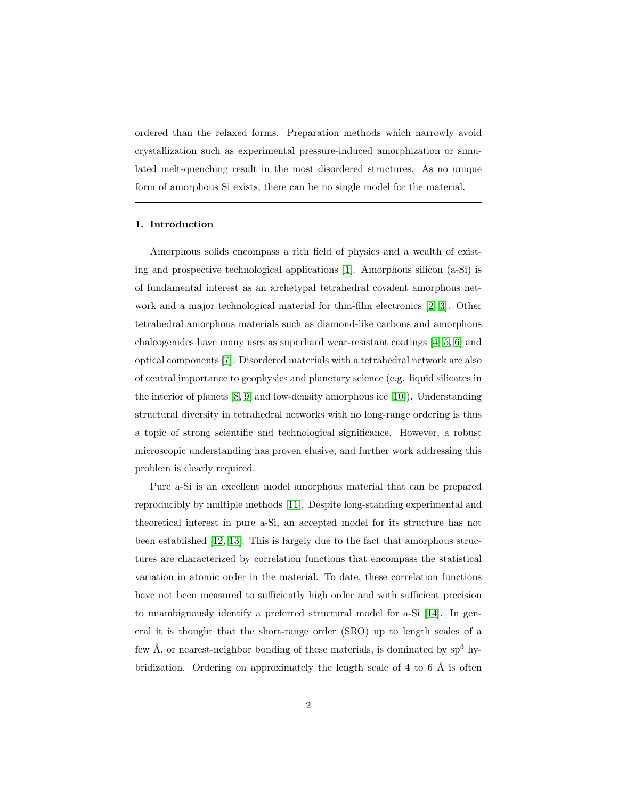ordered than the relaxed forms. Preparation methods which narrowly avoid crystallization such as experimental pressure-induced amorphization or simulated melt-quenching result in the most disordered structures. As no unique form of amorphous Si exists, there can be no single model for the material.

### 1. Introduction

Amorphous solids encompass a rich field of physics and a wealth of existing and prospective technological applications [\[1\]](#page-22-0). Amorphous silicon (a-Si) is of fundamental interest as an archetypal tetrahedral covalent amorphous network and a major technological material for thin-film electronics [\[2,](#page-22-1) [3\]](#page-22-2). Other tetrahedral amorphous materials such as diamond-like carbons and amorphous chalcogenides have many uses as superhard wear-resistant coatings [\[4,](#page-22-3) [5,](#page-22-4) [6\]](#page-22-5) and optical components [\[7\]](#page-22-6). Disordered materials with a tetrahedral network are also of central importance to geophysics and planetary science (e.g. liquid silicates in the interior of planets [\[8,](#page-22-7) [9\]](#page-22-8) and low-density amorphous ice [\[10\]](#page-22-9)). Understanding structural diversity in tetrahedral networks with no long-range ordering is thus a topic of strong scientific and technological significance. However, a robust microscopic understanding has proven elusive, and further work addressing this problem is clearly required.

Pure a-Si is an excellent model amorphous material that can be prepared reproducibly by multiple methods [\[11\]](#page-22-10). Despite long-standing experimental and theoretical interest in pure a-Si, an accepted model for its structure has not been established [\[12,](#page-23-0) [13\]](#page-23-1). This is largely due to the fact that amorphous structures are characterized by correlation functions that encompass the statistical variation in atomic order in the material. To date, these correlation functions have not been measured to sufficiently high order and with sufficient precision to unambiguously identify a preferred structural model for a-Si [\[14\]](#page-23-2). In general it is thought that the short-range order (SRO) up to length scales of a few  $A$ , or nearest-neighbor bonding of these materials, is dominated by  $sp^3$  hybridization. Ordering on approximately the length scale of 4 to 6  $\AA$  is often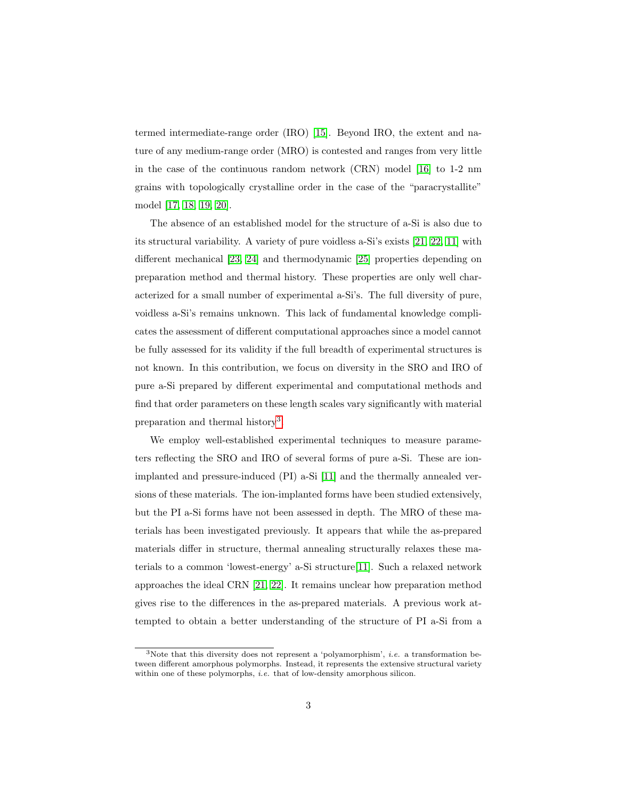termed intermediate-range order (IRO) [\[15\]](#page-23-3). Beyond IRO, the extent and nature of any medium-range order (MRO) is contested and ranges from very little in the case of the continuous random network (CRN) model [\[16\]](#page-23-4) to 1-2 nm grains with topologically crystalline order in the case of the "paracrystallite" model [\[17,](#page-23-5) [18,](#page-23-6) [19,](#page-23-7) [20\]](#page-23-8).

The absence of an established model for the structure of a-Si is also due to its structural variability. A variety of pure voidless a-Si's exists [\[21,](#page-23-9) [22,](#page-24-0) [11\]](#page-22-10) with different mechanical [\[23,](#page-24-1) [24\]](#page-24-2) and thermodynamic [\[25\]](#page-24-3) properties depending on preparation method and thermal history. These properties are only well characterized for a small number of experimental a-Si's. The full diversity of pure, voidless a-Si's remains unknown. This lack of fundamental knowledge complicates the assessment of different computational approaches since a model cannot be fully assessed for its validity if the full breadth of experimental structures is not known. In this contribution, we focus on diversity in the SRO and IRO of pure a-Si prepared by different experimental and computational methods and find that order parameters on these length scales vary significantly with material preparation and thermal history<sup>[3](#page-2-0)</sup>.

We employ well-established experimental techniques to measure parameters reflecting the SRO and IRO of several forms of pure a-Si. These are ionimplanted and pressure-induced (PI) a-Si [\[11\]](#page-22-10) and the thermally annealed versions of these materials. The ion-implanted forms have been studied extensively, but the PI a-Si forms have not been assessed in depth. The MRO of these materials has been investigated previously. It appears that while the as-prepared materials differ in structure, thermal annealing structurally relaxes these materials to a common 'lowest-energy' a-Si structure[\[11\]](#page-22-10). Such a relaxed network approaches the ideal CRN [\[21,](#page-23-9) [22\]](#page-24-0). It remains unclear how preparation method gives rise to the differences in the as-prepared materials. A previous work attempted to obtain a better understanding of the structure of PI a-Si from a

<span id="page-2-0"></span> $3$ Note that this diversity does not represent a 'polyamorphism', *i.e.* a transformation between different amorphous polymorphs. Instead, it represents the extensive structural variety within one of these polymorphs, *i.e.* that of low-density amorphous silicon.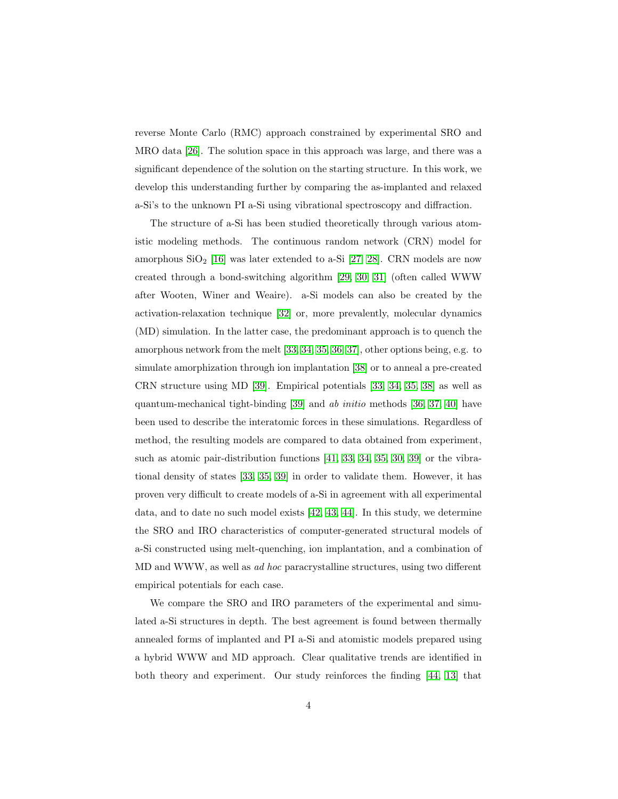reverse Monte Carlo (RMC) approach constrained by experimental SRO and MRO data [\[26\]](#page-24-4). The solution space in this approach was large, and there was a significant dependence of the solution on the starting structure. In this work, we develop this understanding further by comparing the as-implanted and relaxed a-Si's to the unknown PI a-Si using vibrational spectroscopy and diffraction.

The structure of a-Si has been studied theoretically through various atomistic modeling methods. The continuous random network (CRN) model for amorphous  $SiO<sub>2</sub>$  [\[16\]](#page-23-4) was later extended to a-Si [\[27,](#page-24-5) [28\]](#page-24-6). CRN models are now created through a bond-switching algorithm [\[29,](#page-24-7) [30,](#page-24-8) [31\]](#page-24-9) (often called WWW after Wooten, Winer and Weaire). a-Si models can also be created by the activation-relaxation technique [\[32\]](#page-24-10) or, more prevalently, molecular dynamics (MD) simulation. In the latter case, the predominant approach is to quench the amorphous network from the melt [\[33,](#page-25-0) [34,](#page-25-1) [35,](#page-25-2) [36,](#page-25-3) [37\]](#page-25-4), other options being, e.g. to simulate amorphization through ion implantation [\[38\]](#page-25-5) or to anneal a pre-created CRN structure using MD [\[39\]](#page-25-6). Empirical potentials [\[33,](#page-25-0) [34,](#page-25-1) [35,](#page-25-2) [38\]](#page-25-5) as well as quantum-mechanical tight-binding [\[39\]](#page-25-6) and ab initio methods [\[36,](#page-25-3) [37,](#page-25-4) [40\]](#page-25-7) have been used to describe the interatomic forces in these simulations. Regardless of method, the resulting models are compared to data obtained from experiment, such as atomic pair-distribution functions [\[41,](#page-25-8) [33,](#page-25-0) [34,](#page-25-1) [35,](#page-25-2) [30,](#page-24-8) [39\]](#page-25-6) or the vibrational density of states [\[33,](#page-25-0) [35,](#page-25-2) [39\]](#page-25-6) in order to validate them. However, it has proven very difficult to create models of a-Si in agreement with all experimental data, and to date no such model exists [\[42,](#page-25-9) [43,](#page-25-10) [44\]](#page-26-0). In this study, we determine the SRO and IRO characteristics of computer-generated structural models of a-Si constructed using melt-quenching, ion implantation, and a combination of MD and WWW, as well as ad hoc paracrystalline structures, using two different empirical potentials for each case.

We compare the SRO and IRO parameters of the experimental and simulated a-Si structures in depth. The best agreement is found between thermally annealed forms of implanted and PI a-Si and atomistic models prepared using a hybrid WWW and MD approach. Clear qualitative trends are identified in both theory and experiment. Our study reinforces the finding [\[44,](#page-26-0) [13\]](#page-23-1) that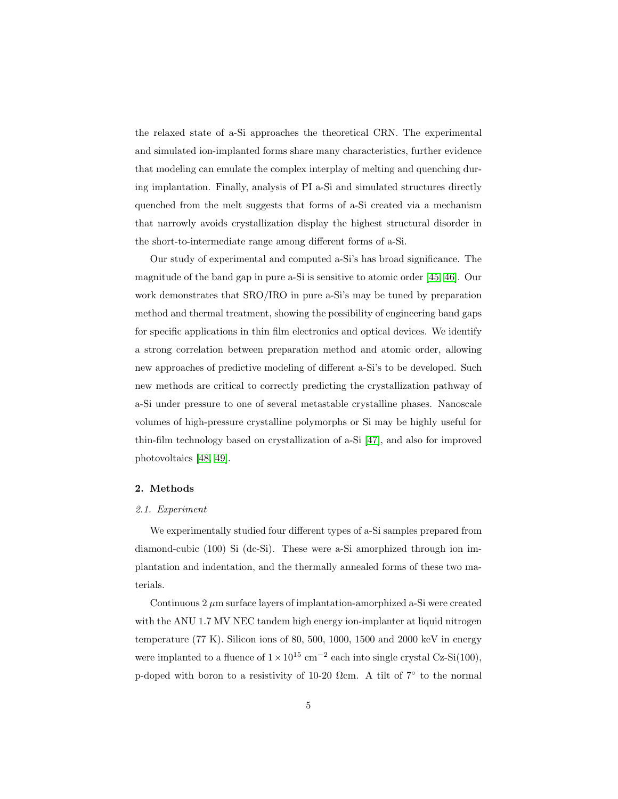the relaxed state of a-Si approaches the theoretical CRN. The experimental and simulated ion-implanted forms share many characteristics, further evidence that modeling can emulate the complex interplay of melting and quenching during implantation. Finally, analysis of PI a-Si and simulated structures directly quenched from the melt suggests that forms of a-Si created via a mechanism that narrowly avoids crystallization display the highest structural disorder in the short-to-intermediate range among different forms of a-Si.

Our study of experimental and computed a-Si's has broad significance. The magnitude of the band gap in pure a-Si is sensitive to atomic order [\[45,](#page-26-1) [46\]](#page-26-2). Our work demonstrates that SRO/IRO in pure a-Si's may be tuned by preparation method and thermal treatment, showing the possibility of engineering band gaps for specific applications in thin film electronics and optical devices. We identify a strong correlation between preparation method and atomic order, allowing new approaches of predictive modeling of different a-Si's to be developed. Such new methods are critical to correctly predicting the crystallization pathway of a-Si under pressure to one of several metastable crystalline phases. Nanoscale volumes of high-pressure crystalline polymorphs or Si may be highly useful for thin-film technology based on crystallization of a-Si [\[47\]](#page-26-3), and also for improved photovoltaics [\[48,](#page-26-4) [49\]](#page-26-5).

### 2. Methods

#### 2.1. Experiment

We experimentally studied four different types of a-Si samples prepared from diamond-cubic (100) Si (dc-Si). These were a-Si amorphized through ion implantation and indentation, and the thermally annealed forms of these two materials.

Continuous  $2 \mu m$  surface layers of implantation-amorphized a-Si were created with the ANU 1.7 MV NEC tandem high energy ion-implanter at liquid nitrogen temperature  $(77 \text{ K})$ . Silicon ions of 80, 500, 1000, 1500 and 2000 keV in energy were implanted to a fluence of  $1 \times 10^{15}$  cm<sup>-2</sup> each into single crystal Cz-Si(100), p-doped with boron to a resistivity of 10-20  $\Omega$ cm. A tilt of 7° to the normal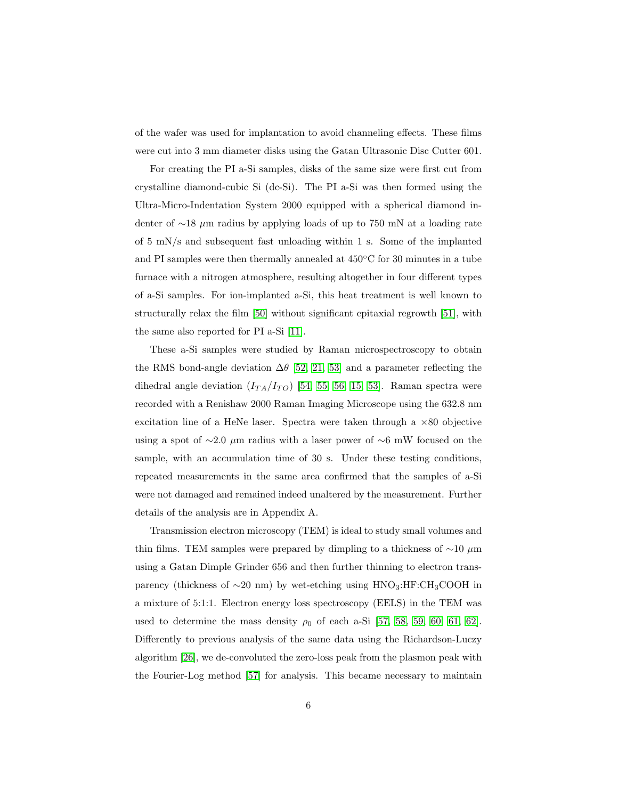of the wafer was used for implantation to avoid channeling effects. These films were cut into 3 mm diameter disks using the Gatan Ultrasonic Disc Cutter 601.

For creating the PI a-Si samples, disks of the same size were first cut from crystalline diamond-cubic Si (dc-Si). The PI a-Si was then formed using the Ultra-Micro-Indentation System 2000 equipped with a spherical diamond indenter of ∼18 µm radius by applying loads of up to 750 mN at a loading rate of 5 mN/s and subsequent fast unloading within 1 s. Some of the implanted and PI samples were then thermally annealed at 450◦C for 30 minutes in a tube furnace with a nitrogen atmosphere, resulting altogether in four different types of a-Si samples. For ion-implanted a-Si, this heat treatment is well known to structurally relax the film [\[50\]](#page-26-6) without significant epitaxial regrowth [\[51\]](#page-26-7), with the same also reported for PI a-Si [\[11\]](#page-22-10).

These a-Si samples were studied by Raman microspectroscopy to obtain the RMS bond-angle deviation  $\Delta\theta$  [\[52,](#page-26-8) [21,](#page-23-9) [53\]](#page-27-0) and a parameter reflecting the dihedral angle deviation  $(I_{TA}/I_{TO})$  [\[54,](#page-27-1) [55,](#page-27-2) [56,](#page-27-3) [15,](#page-23-3) [53\]](#page-27-0). Raman spectra were recorded with a Renishaw 2000 Raman Imaging Microscope using the 632.8 nm excitation line of a HeNe laser. Spectra were taken through a  $\times 80$  objective using a spot of  $\sim$ 2.0 µm radius with a laser power of  $\sim$ 6 mW focused on the sample, with an accumulation time of 30 s. Under these testing conditions, repeated measurements in the same area confirmed that the samples of a-Si were not damaged and remained indeed unaltered by the measurement. Further details of the analysis are in Appendix A.

Transmission electron microscopy (TEM) is ideal to study small volumes and thin films. TEM samples were prepared by dimpling to a thickness of  $\sim$ 10 µm using a Gatan Dimple Grinder 656 and then further thinning to electron transparency (thickness of  $\sim$ 20 nm) by wet-etching using HNO<sub>3</sub>:HF:CH<sub>3</sub>COOH in a mixture of 5:1:1. Electron energy loss spectroscopy (EELS) in the TEM was used to determine the mass density  $\rho_0$  of each a-Si [\[57,](#page-27-4) [58,](#page-27-5) [59,](#page-27-6) [60,](#page-27-7) [61,](#page-27-8) [62\]](#page-27-9). Differently to previous analysis of the same data using the Richardson-Luczy algorithm [\[26\]](#page-24-4), we de-convoluted the zero-loss peak from the plasmon peak with the Fourier-Log method [\[57\]](#page-27-4) for analysis. This became necessary to maintain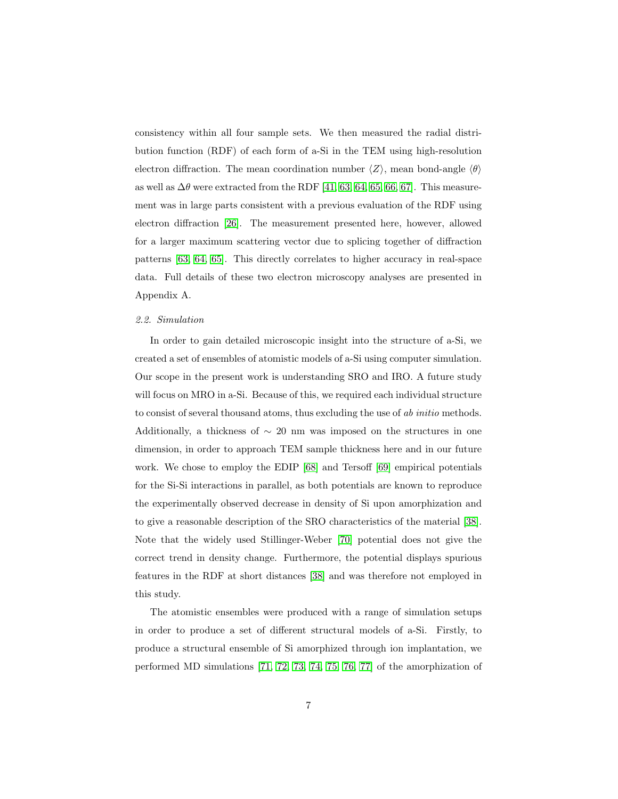consistency within all four sample sets. We then measured the radial distribution function (RDF) of each form of a-Si in the TEM using high-resolution electron diffraction. The mean coordination number  $\langle Z \rangle$ , mean bond-angle  $\langle \theta \rangle$ as well as  $\Delta\theta$  were extracted from the RDF [\[41,](#page-25-8) [63,](#page-28-0) [64,](#page-28-1) [65,](#page-28-2) [66,](#page-28-3) [67\]](#page-28-4). This measurement was in large parts consistent with a previous evaluation of the RDF using electron diffraction [\[26\]](#page-24-4). The measurement presented here, however, allowed for a larger maximum scattering vector due to splicing together of diffraction patterns [\[63,](#page-28-0) [64,](#page-28-1) [65\]](#page-28-2). This directly correlates to higher accuracy in real-space data. Full details of these two electron microscopy analyses are presented in Appendix A.

#### 2.2. Simulation

In order to gain detailed microscopic insight into the structure of a-Si, we created a set of ensembles of atomistic models of a-Si using computer simulation. Our scope in the present work is understanding SRO and IRO. A future study will focus on MRO in a-Si. Because of this, we required each individual structure to consist of several thousand atoms, thus excluding the use of ab initio methods. Additionally, a thickness of  $\sim$  20 nm was imposed on the structures in one dimension, in order to approach TEM sample thickness here and in our future work. We chose to employ the EDIP [\[68\]](#page-28-5) and Tersoff [\[69\]](#page-28-6) empirical potentials for the Si-Si interactions in parallel, as both potentials are known to reproduce the experimentally observed decrease in density of Si upon amorphization and to give a reasonable description of the SRO characteristics of the material [\[38\]](#page-25-5). Note that the widely used Stillinger-Weber [\[70\]](#page-28-7) potential does not give the correct trend in density change. Furthermore, the potential displays spurious features in the RDF at short distances [\[38\]](#page-25-5) and was therefore not employed in this study.

The atomistic ensembles were produced with a range of simulation setups in order to produce a set of different structural models of a-Si. Firstly, to produce a structural ensemble of Si amorphized through ion implantation, we performed MD simulations [\[71,](#page-28-8) [72,](#page-29-0) [73,](#page-29-1) [74,](#page-29-2) [75,](#page-29-3) [76,](#page-29-4) [77\]](#page-29-5) of the amorphization of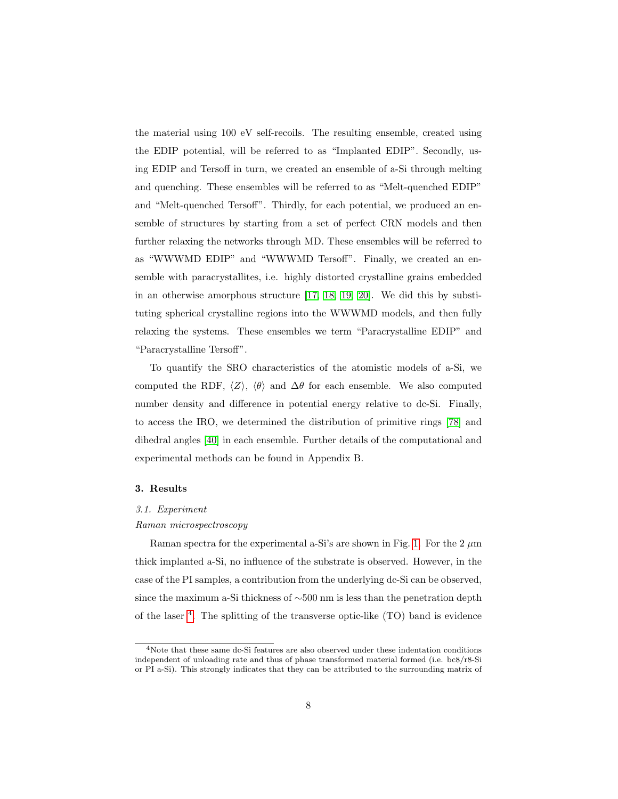the material using 100 eV self-recoils. The resulting ensemble, created using the EDIP potential, will be referred to as "Implanted EDIP". Secondly, using EDIP and Tersoff in turn, we created an ensemble of a-Si through melting and quenching. These ensembles will be referred to as "Melt-quenched EDIP" and "Melt-quenched Tersoff". Thirdly, for each potential, we produced an ensemble of structures by starting from a set of perfect CRN models and then further relaxing the networks through MD. These ensembles will be referred to as "WWWMD EDIP" and "WWWMD Tersoff". Finally, we created an ensemble with paracrystallites, i.e. highly distorted crystalline grains embedded in an otherwise amorphous structure [\[17,](#page-23-5) [18,](#page-23-6) [19,](#page-23-7) [20\]](#page-23-8). We did this by substituting spherical crystalline regions into the WWWMD models, and then fully relaxing the systems. These ensembles we term "Paracrystalline EDIP" and "Paracrystalline Tersoff".

To quantify the SRO characteristics of the atomistic models of a-Si, we computed the RDF,  $\langle Z \rangle$ ,  $\langle \theta \rangle$  and  $\Delta\theta$  for each ensemble. We also computed number density and difference in potential energy relative to dc-Si. Finally, to access the IRO, we determined the distribution of primitive rings [\[78\]](#page-29-6) and dihedral angles [\[40\]](#page-25-7) in each ensemble. Further details of the computational and experimental methods can be found in Appendix B.

### 3. Results

### 3.1. Experiment

#### Raman microspectroscopy

Raman spectra for the experimental a-Si's are shown in Fig. [1.](#page-8-0) For the 2  $\mu$ m thick implanted a-Si, no influence of the substrate is observed. However, in the case of the PI samples, a contribution from the underlying dc-Si can be observed, since the maximum a-Si thickness of ∼500 nm is less than the penetration depth of the laser [4](#page-7-0) . The splitting of the transverse optic-like (TO) band is evidence

<span id="page-7-0"></span><sup>4</sup>Note that these same dc-Si features are also observed under these indentation conditions independent of unloading rate and thus of phase transformed material formed (i.e. bc8/r8-Si or PI a-Si). This strongly indicates that they can be attributed to the surrounding matrix of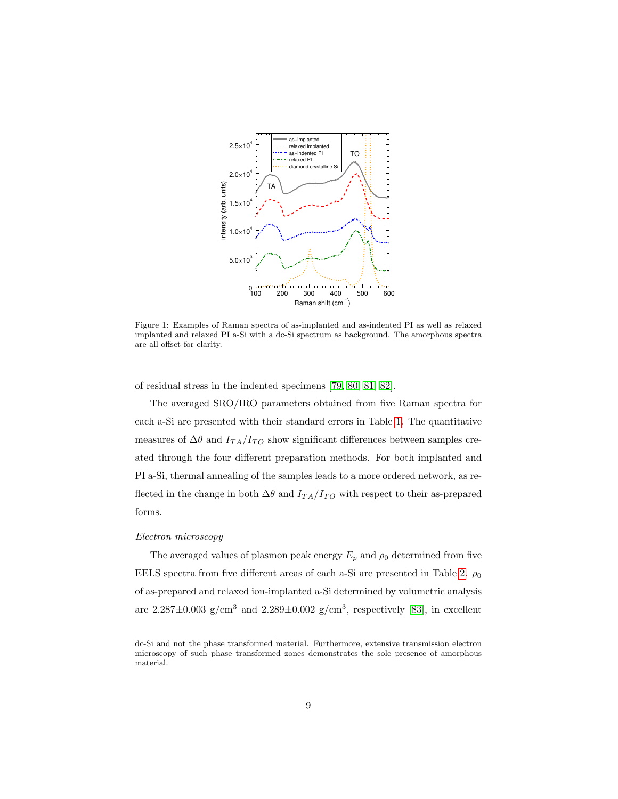

<span id="page-8-0"></span>Figure 1: Examples of Raman spectra of as-implanted and as-indented PI as well as relaxed implanted and relaxed PI a-Si with a dc-Si spectrum as background. The amorphous spectra are all offset for clarity.

of residual stress in the indented specimens [\[79,](#page-29-7) [80,](#page-29-8) [81,](#page-30-0) [82\]](#page-30-1).

The averaged SRO/IRO parameters obtained from five Raman spectra for each a-Si are presented with their standard errors in Table [1.](#page-9-0) The quantitative measures of  $\Delta\theta$  and  $I_{TA}/I_{TO}$  show significant differences between samples created through the four different preparation methods. For both implanted and PI a-Si, thermal annealing of the samples leads to a more ordered network, as reflected in the change in both  $\Delta\theta$  and  $I_{TA}/I_{TO}$  with respect to their as-prepared forms.

#### Electron microscopy

The averaged values of plasmon peak energy  $E_p$  and  $\rho_0$  determined from five EELS spectra from five different areas of each a-Si are presented in Table [2.](#page-9-1)  $\rho_0$ of as-prepared and relaxed ion-implanted a-Si determined by volumetric analysis are  $2.287 \pm 0.003$  g/cm<sup>3</sup> and  $2.289 \pm 0.002$  g/cm<sup>3</sup>, respectively [\[83\]](#page-30-2), in excellent

dc-Si and not the phase transformed material. Furthermore, extensive transmission electron microscopy of such phase transformed zones demonstrates the sole presence of amorphous material.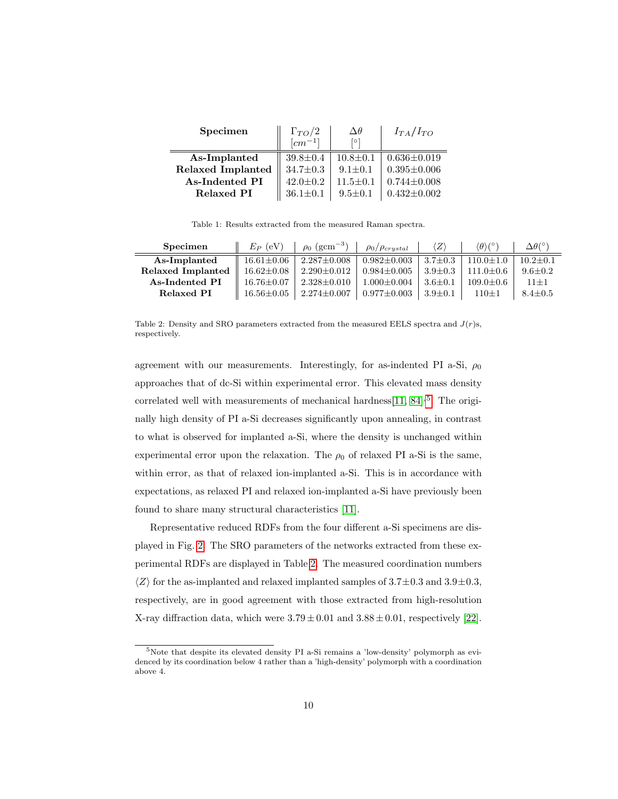| Specimen                 | $\Gamma_{TO}/2$        | $\Delta\theta$ | $I_{TA}/I_{TO}$   |  |
|--------------------------|------------------------|----------------|-------------------|--|
|                          | $\left[cm^{-1}\right]$ | [0]            |                   |  |
| As-Implanted             | $39.8 \pm 0.4$         | $10.8 \pm 0.1$ | $0.636 \pm 0.019$ |  |
| <b>Relaxed Implanted</b> | $34.7 \pm 0.3$         | $9.1 \pm 0.1$  | $0.395 \pm 0.006$ |  |
| As-Indented PI           | $42.0 \pm 0.2$         | $11.5 \pm 0.1$ | $0.744 \pm 0.008$ |  |
| Relaxed PI               | $36.1 \pm 0.1$         | $9.5 \pm 0.1$  | $0.432 \pm 0.002$ |  |

<span id="page-9-0"></span>Table 1: Results extracted from the measured Raman spectra.

| Specimen          | $E_P$ (eV)           | $\rho_0$ (gcm <sup>-3</sup> ) | $\rho_0/\rho_{crystal}$ | $\langle Z\rangle$ | $\langle \theta \rangle (^\circ)$ | $\Delta\theta$ <sup>(<math>\circ</math>)</sup> |
|-------------------|----------------------|-------------------------------|-------------------------|--------------------|-----------------------------------|------------------------------------------------|
| As-Implanted      | $16.61 \pm 0.06$     | $2.287 \pm 0.008$             | $0.982 \pm 0.003$       | $3.7{\pm}0.3$      | $110.0 \pm 1.0$                   | $10.2 + 0.1$                                   |
| Relaxed Implanted | $16.62 \pm 0.08$     | $2.290 \pm 0.012$             | $0.984 {\pm} 0.005$     | $3.9 \pm 0.3$      | $111.0 + 0.6$                     | $9.6 + 0.2$                                    |
| As-Indented PI    | $16.76 \pm 0.07$     | $2.328 \pm 0.010$             | $1.000 \pm 0.004$       | $3.6 + 0.1$        | $109.0 + 0.6$                     | $11 + 1$                                       |
| Relaxed PI        | $16.56 \!\pm\! 0.05$ | $2.274 {\pm} 0.007$           | $0.977 \pm 0.003$       | $13.9 \pm 0.1$     | $110 \pm 1$                       | $8.4 \pm 0.5$                                  |

<span id="page-9-1"></span>Table 2: Density and SRO parameters extracted from the measured EELS spectra and  $J(r)s$ , respectively.

agreement with our measurements. Interestingly, for as-indented PI a-Si,  $\rho_0$ approaches that of dc-Si within experimental error. This elevated mass density correlated well with measurements of mechanical hardness  $[11, 84]$  $[11, 84]$ <sup>[5](#page-9-2)</sup>. The originally high density of PI a-Si decreases significantly upon annealing, in contrast to what is observed for implanted a-Si, where the density is unchanged within experimental error upon the relaxation. The  $\rho_0$  of relaxed PI a-Si is the same, within error, as that of relaxed ion-implanted a-Si. This is in accordance with expectations, as relaxed PI and relaxed ion-implanted a-Si have previously been found to share many structural characteristics [\[11\]](#page-22-10).

Representative reduced RDFs from the four different a-Si specimens are displayed in Fig. [2.](#page-10-0) The SRO parameters of the networks extracted from these experimental RDFs are displayed in Table [2.](#page-9-1) The measured coordination numbers  $\langle Z \rangle$  for the as-implanted and relaxed implanted samples of 3.7 $\pm$ 0.3 and 3.9 $\pm$ 0.3, respectively, are in good agreement with those extracted from high-resolution X-ray diffraction data, which were  $3.79 \pm 0.01$  and  $3.88 \pm 0.01$ , respectively [\[22\]](#page-24-0).

<span id="page-9-2"></span><sup>5</sup>Note that despite its elevated density PI a-Si remains a 'low-density' polymorph as evidenced by its coordination below 4 rather than a 'high-density' polymorph with a coordination above 4.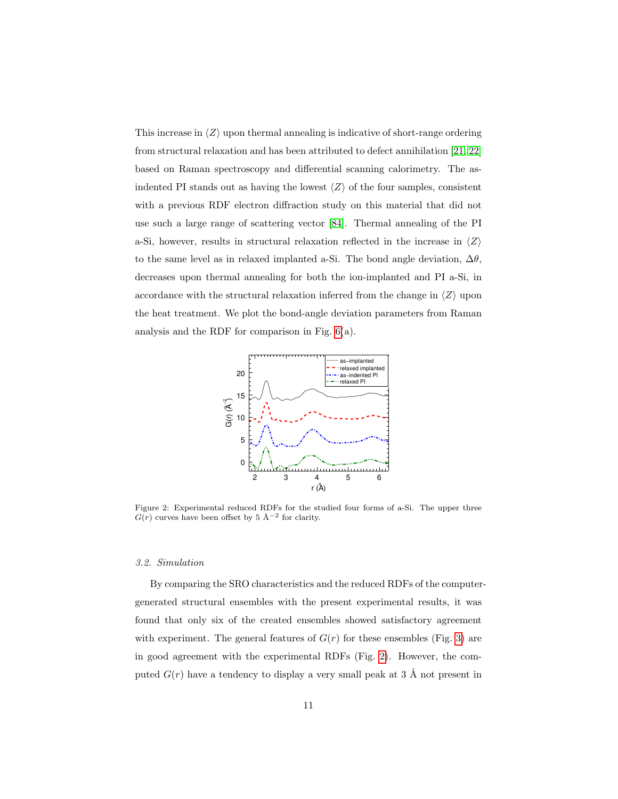This increase in  $\langle Z \rangle$  upon thermal annealing is indicative of short-range ordering from structural relaxation and has been attributed to defect annihilation [\[21,](#page-23-9) [22\]](#page-24-0) based on Raman spectroscopy and differential scanning calorimetry. The asindented PI stands out as having the lowest  $\langle Z \rangle$  of the four samples, consistent with a previous RDF electron diffraction study on this material that did not use such a large range of scattering vector [\[84\]](#page-30-3). Thermal annealing of the PI a-Si, however, results in structural relaxation reflected in the increase in  $\langle Z \rangle$ to the same level as in relaxed implanted a-Si. The bond angle deviation,  $\Delta\theta$ , decreases upon thermal annealing for both the ion-implanted and PI a-Si, in accordance with the structural relaxation inferred from the change in  $\langle Z \rangle$  upon the heat treatment. We plot the bond-angle deviation parameters from Raman analysis and the RDF for comparison in Fig. [6\(](#page-15-0)a).



<span id="page-10-0"></span>Figure 2: Experimental reduced RDFs for the studied four forms of a-Si. The upper three  $G(r)$  curves have been offset by 5 Å<sup>-2</sup> for clarity.

#### 3.2. Simulation

By comparing the SRO characteristics and the reduced RDFs of the computergenerated structural ensembles with the present experimental results, it was found that only six of the created ensembles showed satisfactory agreement with experiment. The general features of  $G(r)$  for these ensembles (Fig. [3\)](#page-11-0) are in good agreement with the experimental RDFs (Fig. [2\)](#page-10-0). However, the computed  $G(r)$  have a tendency to display a very small peak at 3 Å not present in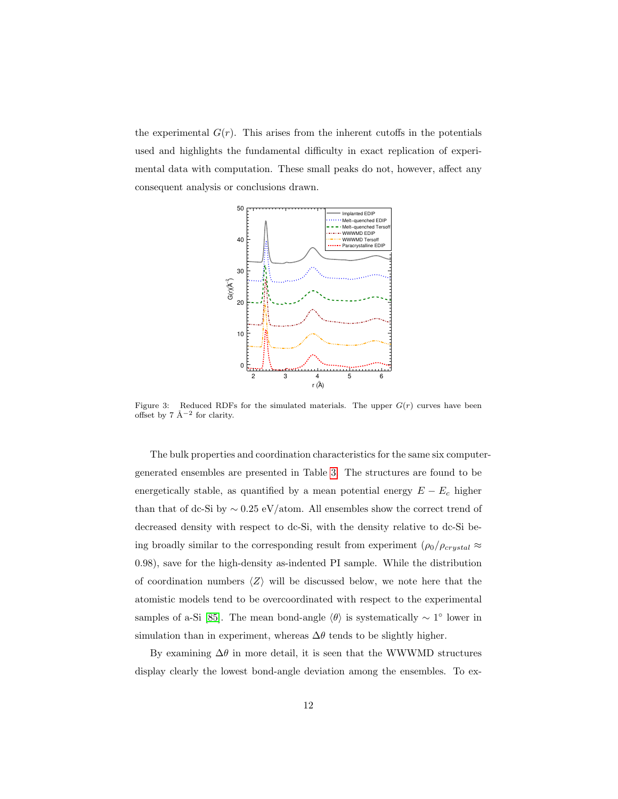the experimental  $G(r)$ . This arises from the inherent cutoffs in the potentials used and highlights the fundamental difficulty in exact replication of experimental data with computation. These small peaks do not, however, affect any consequent analysis or conclusions drawn.



<span id="page-11-0"></span>Figure 3: Reduced RDFs for the simulated materials. The upper  $G(r)$  curves have been offset by  $7 \text{ Å}^{-2}$  for clarity.

The bulk properties and coordination characteristics for the same six computergenerated ensembles are presented in Table [3.](#page-12-0) The structures are found to be energetically stable, as quantified by a mean potential energy  $E - E_c$  higher than that of dc-Si by  $\sim 0.25 \text{ eV/atom}$ . All ensembles show the correct trend of decreased density with respect to dc-Si, with the density relative to dc-Si being broadly similar to the corresponding result from experiment  $(\rho_0/\rho_{crystal} \approx$ 0.98), save for the high-density as-indented PI sample. While the distribution of coordination numbers  $\langle Z \rangle$  will be discussed below, we note here that the atomistic models tend to be overcoordinated with respect to the experimental samples of a-Si [\[85\]](#page-30-4). The mean bond-angle  $\langle \theta \rangle$  is systematically ~ 1° lower in simulation than in experiment, whereas  $\Delta\theta$  tends to be slightly higher.

By examining  $\Delta\theta$  in more detail, it is seen that the WWWMD structures display clearly the lowest bond-angle deviation among the ensembles. To ex-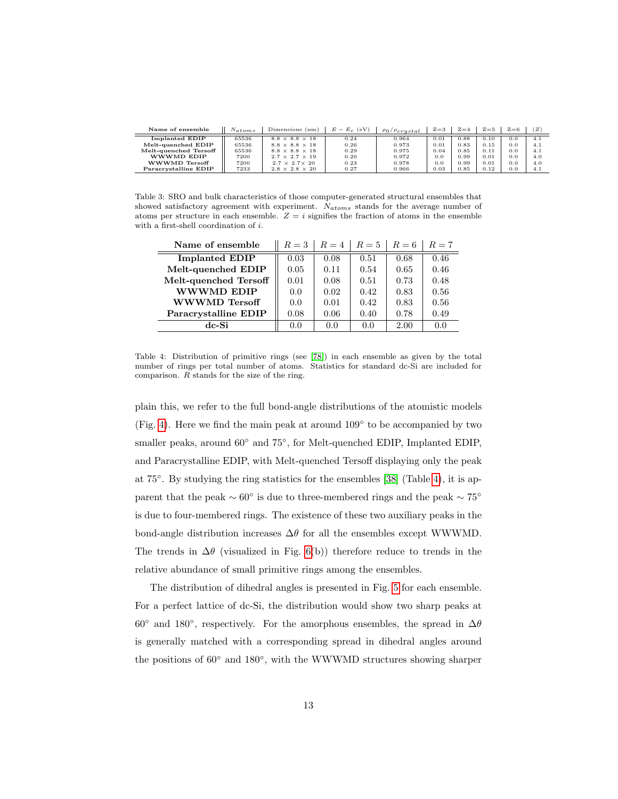| Name of ensemble      | $N_{atoms}$ | Dimensions (nm)            | $E - E_c$ (eV) | $\rho_0/\rho_{crystal}$ | $Z = 3$ | $Z = 4$   | $Z = 5$ | $Z = 6$  | z   |
|-----------------------|-------------|----------------------------|----------------|-------------------------|---------|-----------|---------|----------|-----|
| Implanted EDIP        | 65536       | $8.8 \times 8.8 \times 18$ | 0.24           | 0.964                   | 0.01    | $_{0.88}$ | 0.10    | $_{0.0}$ | 4.1 |
| Melt-quenched EDIP    | 65536       | $8.8 \times 8.8 \times 18$ | 0.26           | 0.973                   | 0.01    | 0.83      | 0.15    | 0.0      | 4.1 |
| Melt-quenched Tersoff | 65536       | $8.8 \times 8.8 \times 18$ | 0.29           | 0.975                   | 0.04    | 0.85      | 0.11    | 0.0      | 4.1 |
| WWWMD EDIP            | 7200        | $2.7 \times 2.7 \times 19$ | 0.20           | 0.972                   | 0.0     | 0.99      | 0.01    | 0.0      | 4.0 |
| WWWMD Tersoff         | 7200        | $2.7 \times 2.7 \times 20$ | 0.23           | 0.978                   | 0.0     | 0.99      | 0.01    | 0.0      | 4.0 |
| Paracrystalline EDIP  | 7233        | $2.8 \times 2.8 \times 20$ | 0.27           | 0.966                   | 0.03    | 0.85      | 0.12    | $_{0.0}$ | 4.1 |

<span id="page-12-0"></span>Table 3: SRO and bulk characteristics of those computer-generated structural ensembles that showed satisfactory agreement with experiment. Natoms stands for the average number of atoms per structure in each ensemble.  $Z = i$  signifies the fraction of atoms in the ensemble with a first-shell coordination of  $i$ .

| Name of ensemble      | $R=3$ | $R=4$ | $R=5$ | $R=6$ | $R=7$ |
|-----------------------|-------|-------|-------|-------|-------|
| <b>Implanted EDIP</b> | 0.03  | 0.08  | 0.51  | 0.68  | 0.46  |
| Melt-quenched EDIP    | 0.05  | 0.11  | 0.54  | 0.65  | 0.46  |
| Melt-quenched Tersoff | 0.01  | 0.08  | 0.51  | 0.73  | 0.48  |
| <b>WWWMD EDIP</b>     | 0.0   | 0.02  | 0.42  | 0.83  | 0.56  |
| WWWMD Tersoff         | 0.0   | 0.01  | 0.42  | 0.83  | 0.56  |
| Paracrystalline EDIP  | 0.08  | 0.06  | 0.40  | 0.78  | 0.49  |
| dc-Si                 | 0.0   | 0.0   | 0.0   | 2.00  | 0.0   |

<span id="page-12-1"></span>Table 4: Distribution of primitive rings (see [\[78\]](#page-29-6)) in each ensemble as given by the total number of rings per total number of atoms. Statistics for standard dc-Si are included for comparison. R stands for the size of the ring.

plain this, we refer to the full bond-angle distributions of the atomistic models (Fig. [4\)](#page-13-0). Here we find the main peak at around 109◦ to be accompanied by two smaller peaks, around  $60°$  and  $75°$ , for Melt-quenched EDIP, Implanted EDIP, and Paracrystalline EDIP, with Melt-quenched Tersoff displaying only the peak at 75◦ . By studying the ring statistics for the ensembles [\[38\]](#page-25-5) (Table [4\)](#page-12-1), it is apparent that the peak  $\sim 60^{\circ}$  is due to three-membered rings and the peak  $\sim 75^{\circ}$ is due to four-membered rings. The existence of these two auxiliary peaks in the bond-angle distribution increases  $\Delta\theta$  for all the ensembles except WWWMD. The trends in  $\Delta\theta$  (visualized in Fig. [6\(](#page-15-0)b)) therefore reduce to trends in the relative abundance of small primitive rings among the ensembles.

The distribution of dihedral angles is presented in Fig. [5](#page-13-1) for each ensemble. For a perfect lattice of dc-Si, the distribution would show two sharp peaks at 60° and 180°, respectively. For the amorphous ensembles, the spread in  $\Delta\theta$ is generally matched with a corresponding spread in dihedral angles around the positions of 60◦ and 180◦ , with the WWWMD structures showing sharper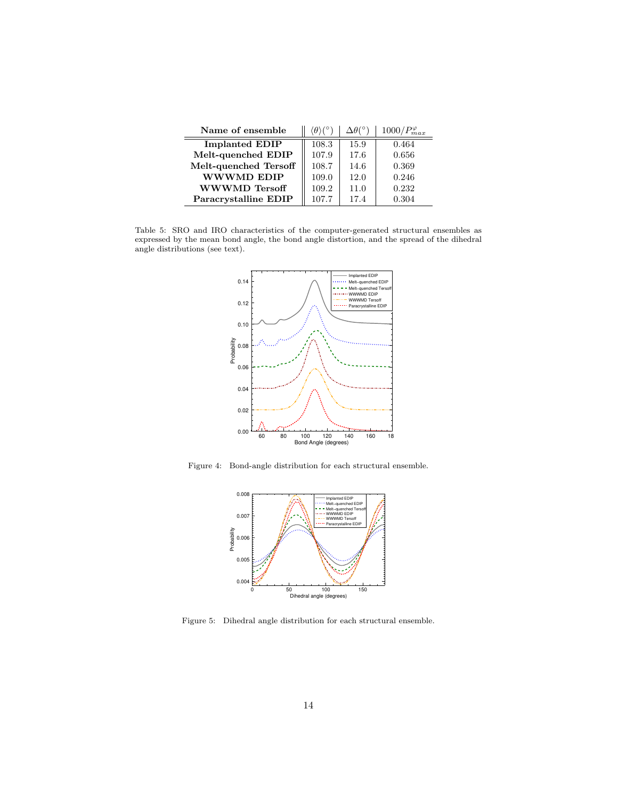| Name of ensemble      | $\langle \theta \rangle$ ( $\degree$ | $\Delta \theta$ (° | $1000/P_{max}^{\varphi}$ |
|-----------------------|--------------------------------------|--------------------|--------------------------|
| <b>Implanted EDIP</b> | 108.3                                | 15.9               | 0.464                    |
| Melt-quenched EDIP    | 107.9                                | 17.6               | 0.656                    |
| Melt-quenched Tersoff | 108.7                                | 14.6               | 0.369                    |
| <b>WWWMD EDIP</b>     | 109.0                                | 12.0               | 0.246                    |
| <b>WWWMD</b> Tersoff  | 109.2                                | 11.0               | 0.232                    |
| Paracrystalline EDIP  | 107.7                                | 17.4               | 0.304                    |

<span id="page-13-2"></span>Table 5: SRO and IRO characteristics of the computer-generated structural ensembles as expressed by the mean bond angle, the bond angle distortion, and the spread of the dihedral angle distributions (see text).



Figure 4: Bond-angle distribution for each structural ensemble.

<span id="page-13-0"></span>

<span id="page-13-1"></span>Figure 5: Dihedral angle distribution for each structural ensemble.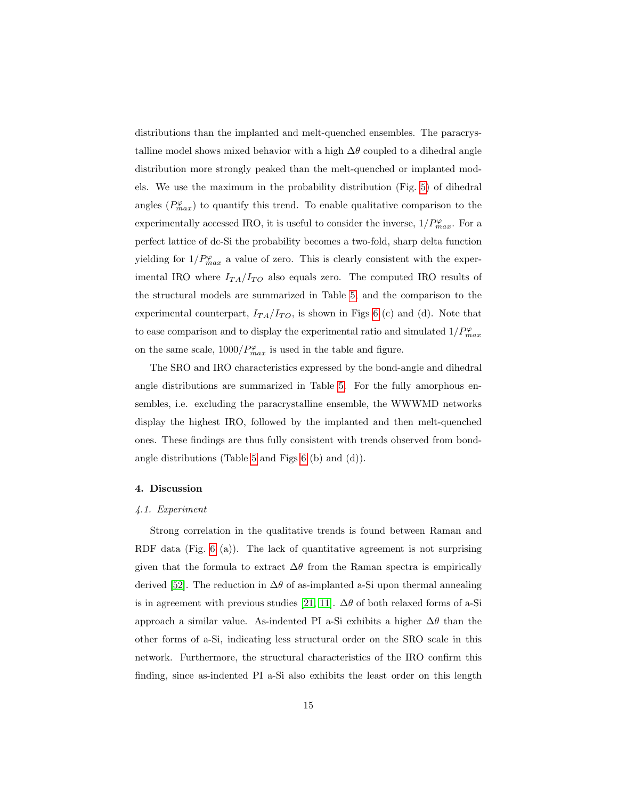distributions than the implanted and melt-quenched ensembles. The paracrystalline model shows mixed behavior with a high  $\Delta\theta$  coupled to a dihedral angle distribution more strongly peaked than the melt-quenched or implanted models. We use the maximum in the probability distribution (Fig. [5\)](#page-13-1) of dihedral angles  $(P_{max}^{\varphi})$  to quantify this trend. To enable qualitative comparison to the experimentally accessed IRO, it is useful to consider the inverse,  $1/P_{max}^{\varphi}$ . For a perfect lattice of dc-Si the probability becomes a two-fold, sharp delta function yielding for  $1/P_{max}^{\varphi}$  a value of zero. This is clearly consistent with the experimental IRO where  $I_{TA}/I_{TO}$  also equals zero. The computed IRO results of the structural models are summarized in Table [5,](#page-13-2) and the comparison to the experimental counterpart,  $I_{TA}/I_{TO}$ , is shown in Figs [6](#page-15-0) (c) and (d). Note that to ease comparison and to display the experimental ratio and simulated  $1/P^\varphi_{max}$ on the same scale,  $1000/P_{max}^{\varphi}$  is used in the table and figure.

The SRO and IRO characteristics expressed by the bond-angle and dihedral angle distributions are summarized in Table [5.](#page-13-2) For the fully amorphous ensembles, i.e. excluding the paracrystalline ensemble, the WWWMD networks display the highest IRO, followed by the implanted and then melt-quenched ones. These findings are thus fully consistent with trends observed from bondangle distributions (Table [5](#page-13-2) and Figs [6](#page-15-0) (b) and (d)).

### 4. Discussion

#### 4.1. Experiment

Strong correlation in the qualitative trends is found between Raman and RDF data (Fig. [6](#page-15-0) (a)). The lack of quantitative agreement is not surprising given that the formula to extract  $\Delta\theta$  from the Raman spectra is empirically derived [\[52\]](#page-26-8). The reduction in  $\Delta\theta$  of as-implanted a-Si upon thermal annealing is in agreement with previous studies [\[21,](#page-23-9) [11\]](#page-22-10).  $\Delta\theta$  of both relaxed forms of a-Si approach a similar value. As-indented PI a-Si exhibits a higher  $\Delta\theta$  than the other forms of a-Si, indicating less structural order on the SRO scale in this network. Furthermore, the structural characteristics of the IRO confirm this finding, since as-indented PI a-Si also exhibits the least order on this length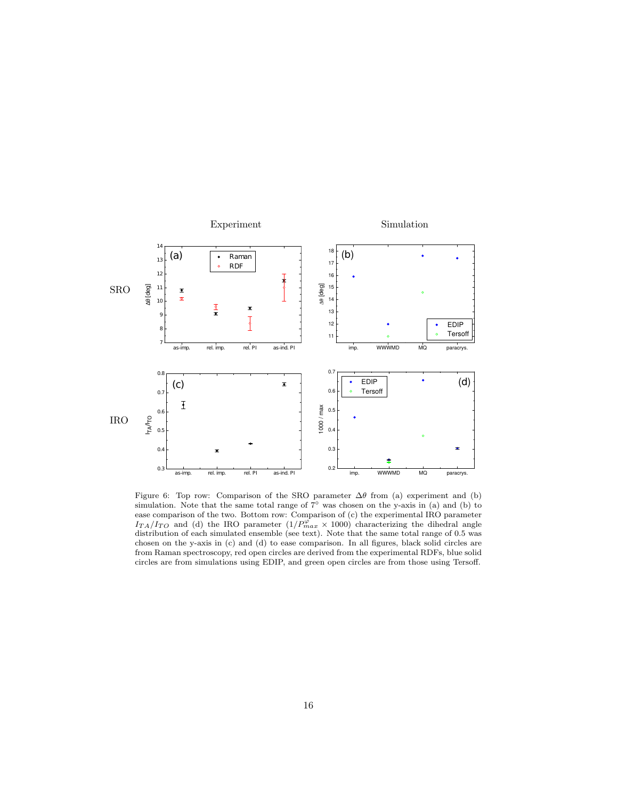

<span id="page-15-0"></span>Figure 6: Top row: Comparison of the SRO parameter  $\Delta\theta$  from (a) experiment and (b) simulation. Note that the same total range of  $7°$  was chosen on the y-axis in (a) and (b) to ease comparison of the two. Bottom row: Comparison of (c) the experimental IRO parameter  $I_{TA}/I_{TO}$  and (d) the IRO parameter  $(1/P_{max}^{\varphi} \times 1000)$  characterizing the dihedral angle distribution of each simulated ensemble (see text). Note that the same total range of 0.5 was chosen on the y-axis in (c) and (d) to ease comparison. In all figures, black solid circles are from Raman spectroscopy, red open circles are derived from the experimental RDFs, blue solid circles are from simulations using EDIP, and green open circles are from those using Tersoff.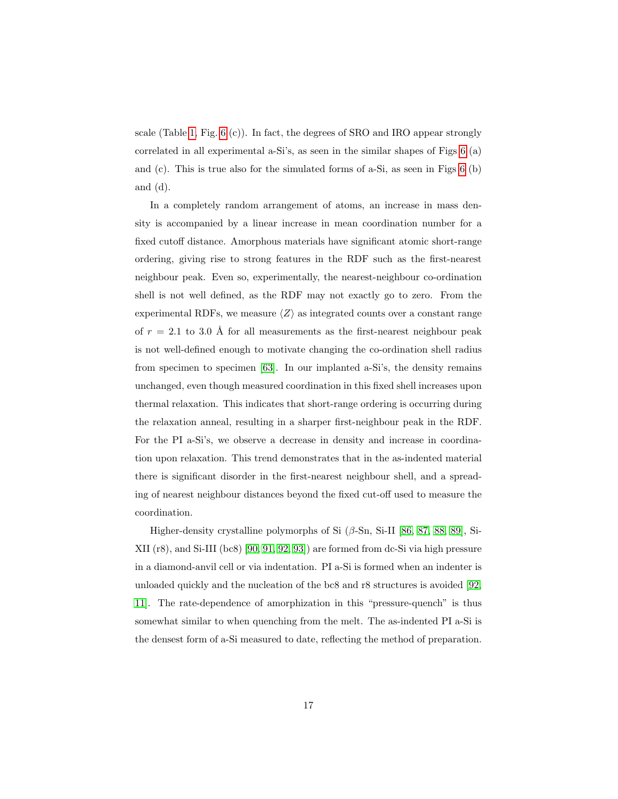scale (Table [1,](#page-9-0) Fig. [6](#page-15-0) (c)). In fact, the degrees of SRO and IRO appear strongly correlated in all experimental a-Si's, as seen in the similar shapes of Figs [6](#page-15-0) (a) and (c). This is true also for the simulated forms of a-Si, as seen in Figs [6](#page-15-0) (b) and (d).

In a completely random arrangement of atoms, an increase in mass density is accompanied by a linear increase in mean coordination number for a fixed cutoff distance. Amorphous materials have significant atomic short-range ordering, giving rise to strong features in the RDF such as the first-nearest neighbour peak. Even so, experimentally, the nearest-neighbour co-ordination shell is not well defined, as the RDF may not exactly go to zero. From the experimental RDFs, we measure  $\langle Z \rangle$  as integrated counts over a constant range of  $r = 2.1$  to 3.0 Å for all measurements as the first-nearest neighbour peak is not well-defined enough to motivate changing the co-ordination shell radius from specimen to specimen [\[63\]](#page-28-0). In our implanted a-Si's, the density remains unchanged, even though measured coordination in this fixed shell increases upon thermal relaxation. This indicates that short-range ordering is occurring during the relaxation anneal, resulting in a sharper first-neighbour peak in the RDF. For the PI a-Si's, we observe a decrease in density and increase in coordination upon relaxation. This trend demonstrates that in the as-indented material there is significant disorder in the first-nearest neighbour shell, and a spreading of nearest neighbour distances beyond the fixed cut-off used to measure the coordination.

Higher-density crystalline polymorphs of Si  $(\beta$ -Sn, Si-II [\[86,](#page-30-5) [87,](#page-30-6) [88,](#page-30-7) [89\]](#page-30-8), Si-XII (r8), and Si-III (bc8) [\[90,](#page-30-9) [91,](#page-31-0) [92,](#page-31-1) [93\]](#page-31-2)) are formed from dc-Si via high pressure in a diamond-anvil cell or via indentation. PI a-Si is formed when an indenter is unloaded quickly and the nucleation of the bc8 and r8 structures is avoided [\[92,](#page-31-1) [11\]](#page-22-10). The rate-dependence of amorphization in this "pressure-quench" is thus somewhat similar to when quenching from the melt. The as-indented PI a-Si is the densest form of a-Si measured to date, reflecting the method of preparation.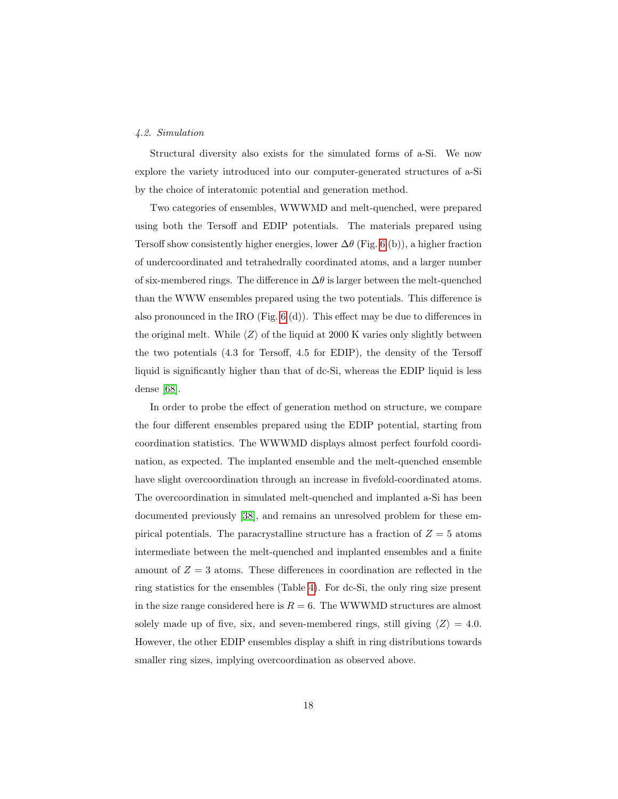### 4.2. Simulation

Structural diversity also exists for the simulated forms of a-Si. We now explore the variety introduced into our computer-generated structures of a-Si by the choice of interatomic potential and generation method.

Two categories of ensembles, WWWMD and melt-quenched, were prepared using both the Tersoff and EDIP potentials. The materials prepared using Tersoff show consistently higher energies, lower  $\Delta\theta$  (Fig. [6](#page-15-0) (b)), a higher fraction of undercoordinated and tetrahedrally coordinated atoms, and a larger number of six-membered rings. The difference in  $\Delta\theta$  is larger between the melt-quenched than the WWW ensembles prepared using the two potentials. This difference is also pronounced in the IRO (Fig. [6](#page-15-0) (d)). This effect may be due to differences in the original melt. While  $\langle Z \rangle$  of the liquid at 2000 K varies only slightly between the two potentials (4.3 for Tersoff, 4.5 for EDIP), the density of the Tersoff liquid is significantly higher than that of dc-Si, whereas the EDIP liquid is less dense [\[68\]](#page-28-5).

In order to probe the effect of generation method on structure, we compare the four different ensembles prepared using the EDIP potential, starting from coordination statistics. The WWWMD displays almost perfect fourfold coordination, as expected. The implanted ensemble and the melt-quenched ensemble have slight overcoordination through an increase in fivefold-coordinated atoms. The overcoordination in simulated melt-quenched and implanted a-Si has been documented previously [\[38\]](#page-25-5), and remains an unresolved problem for these empirical potentials. The paracrystalline structure has a fraction of  $Z = 5$  atoms intermediate between the melt-quenched and implanted ensembles and a finite amount of  $Z = 3$  atoms. These differences in coordination are reflected in the ring statistics for the ensembles (Table [4\)](#page-12-1). For dc-Si, the only ring size present in the size range considered here is  $R = 6$ . The WWWMD structures are almost solely made up of five, six, and seven-membered rings, still giving  $\langle Z \rangle = 4.0$ . However, the other EDIP ensembles display a shift in ring distributions towards smaller ring sizes, implying overcoordination as observed above.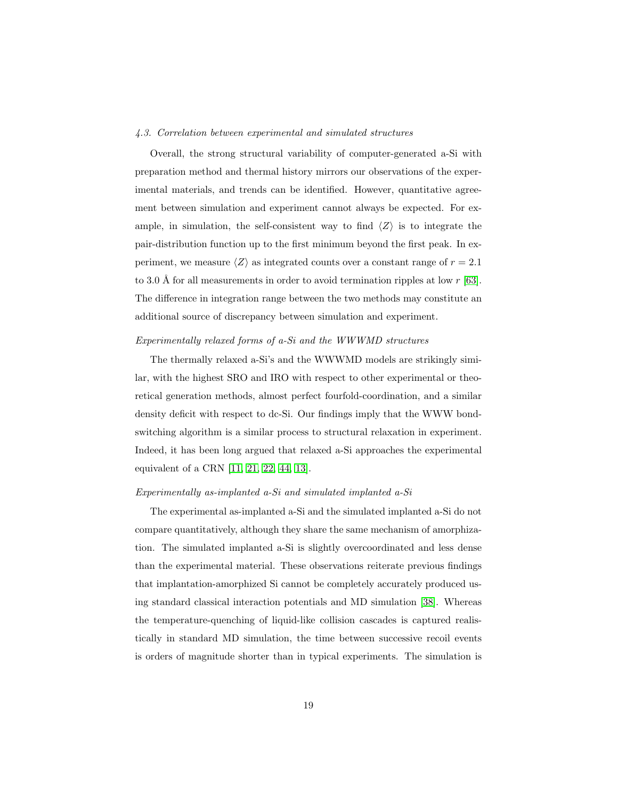### 4.3. Correlation between experimental and simulated structures

Overall, the strong structural variability of computer-generated a-Si with preparation method and thermal history mirrors our observations of the experimental materials, and trends can be identified. However, quantitative agreement between simulation and experiment cannot always be expected. For example, in simulation, the self-consistent way to find  $\langle Z \rangle$  is to integrate the pair-distribution function up to the first minimum beyond the first peak. In experiment, we measure  $\langle Z \rangle$  as integrated counts over a constant range of  $r = 2.1$ to 3.0 Å for all measurements in order to avoid termination ripples at low  $r$  [\[63\]](#page-28-0). The difference in integration range between the two methods may constitute an additional source of discrepancy between simulation and experiment.

#### Experimentally relaxed forms of a-Si and the WWWMD structures

The thermally relaxed a-Si's and the WWWMD models are strikingly similar, with the highest SRO and IRO with respect to other experimental or theoretical generation methods, almost perfect fourfold-coordination, and a similar density deficit with respect to dc-Si. Our findings imply that the WWW bondswitching algorithm is a similar process to structural relaxation in experiment. Indeed, it has been long argued that relaxed a-Si approaches the experimental equivalent of a CRN [\[11,](#page-22-10) [21,](#page-23-9) [22,](#page-24-0) [44,](#page-26-0) [13\]](#page-23-1).

### Experimentally as-implanted a-Si and simulated implanted a-Si

The experimental as-implanted a-Si and the simulated implanted a-Si do not compare quantitatively, although they share the same mechanism of amorphization. The simulated implanted a-Si is slightly overcoordinated and less dense than the experimental material. These observations reiterate previous findings that implantation-amorphized Si cannot be completely accurately produced using standard classical interaction potentials and MD simulation [\[38\]](#page-25-5). Whereas the temperature-quenching of liquid-like collision cascades is captured realistically in standard MD simulation, the time between successive recoil events is orders of magnitude shorter than in typical experiments. The simulation is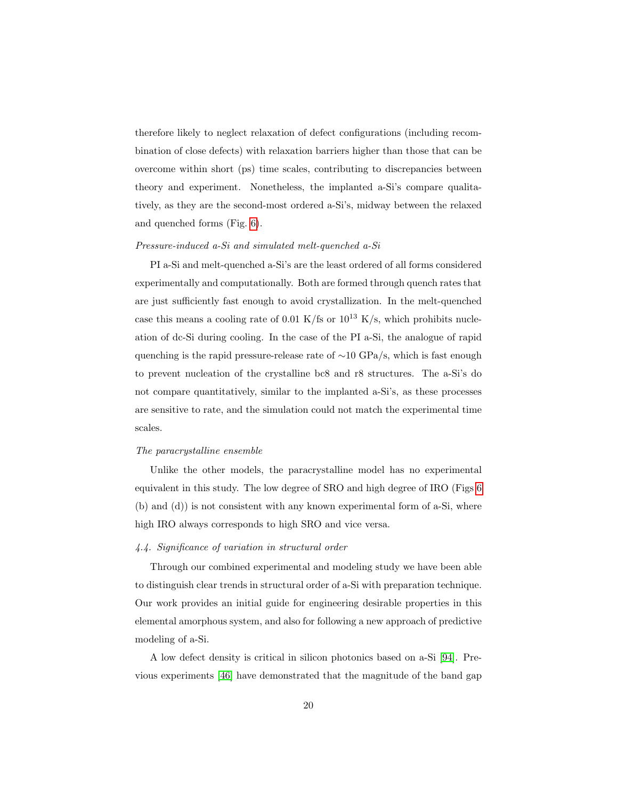therefore likely to neglect relaxation of defect configurations (including recombination of close defects) with relaxation barriers higher than those that can be overcome within short (ps) time scales, contributing to discrepancies between theory and experiment. Nonetheless, the implanted a-Si's compare qualitatively, as they are the second-most ordered a-Si's, midway between the relaxed and quenched forms (Fig. [6\)](#page-15-0).

### Pressure-induced a-Si and simulated melt-quenched a-Si

PI a-Si and melt-quenched a-Si's are the least ordered of all forms considered experimentally and computationally. Both are formed through quench rates that are just sufficiently fast enough to avoid crystallization. In the melt-quenched case this means a cooling rate of 0.01 K/fs or  $10^{13}$  K/s, which prohibits nucleation of dc-Si during cooling. In the case of the PI a-Si, the analogue of rapid quenching is the rapid pressure-release rate of ~10 GPa/s, which is fast enough to prevent nucleation of the crystalline bc8 and r8 structures. The a-Si's do not compare quantitatively, similar to the implanted a-Si's, as these processes are sensitive to rate, and the simulation could not match the experimental time scales.

### The paracrystalline ensemble

Unlike the other models, the paracrystalline model has no experimental equivalent in this study. The low degree of SRO and high degree of IRO (Figs [6](#page-15-0) (b) and (d)) is not consistent with any known experimental form of a-Si, where high IRO always corresponds to high SRO and vice versa.

### 4.4. Significance of variation in structural order

Through our combined experimental and modeling study we have been able to distinguish clear trends in structural order of a-Si with preparation technique. Our work provides an initial guide for engineering desirable properties in this elemental amorphous system, and also for following a new approach of predictive modeling of a-Si.

A low defect density is critical in silicon photonics based on a-Si [\[94\]](#page-31-3). Previous experiments [\[46\]](#page-26-2) have demonstrated that the magnitude of the band gap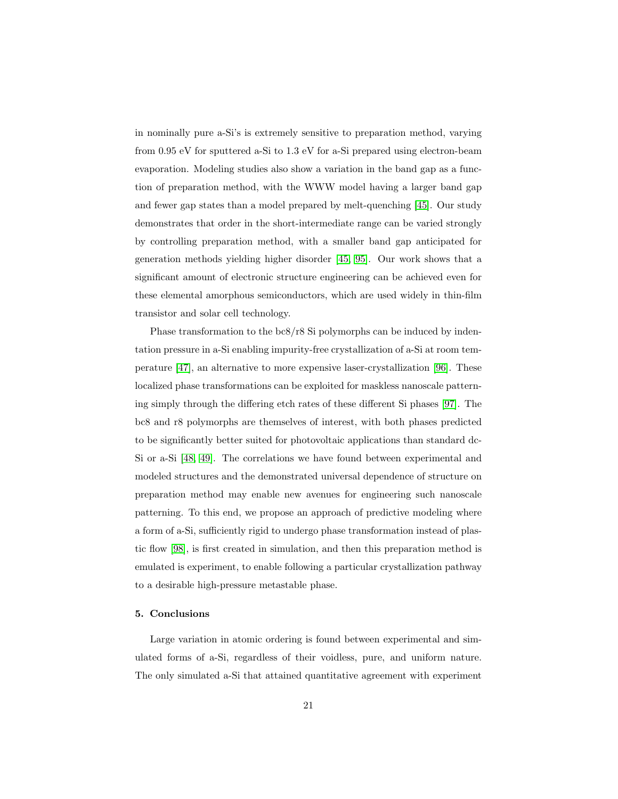in nominally pure a-Si's is extremely sensitive to preparation method, varying from 0.95 eV for sputtered a-Si to 1.3 eV for a-Si prepared using electron-beam evaporation. Modeling studies also show a variation in the band gap as a function of preparation method, with the WWW model having a larger band gap and fewer gap states than a model prepared by melt-quenching [\[45\]](#page-26-1). Our study demonstrates that order in the short-intermediate range can be varied strongly by controlling preparation method, with a smaller band gap anticipated for generation methods yielding higher disorder [\[45,](#page-26-1) [95\]](#page-31-4). Our work shows that a significant amount of electronic structure engineering can be achieved even for these elemental amorphous semiconductors, which are used widely in thin-film transistor and solar cell technology.

Phase transformation to the bc8/r8 Si polymorphs can be induced by indentation pressure in a-Si enabling impurity-free crystallization of a-Si at room temperature [\[47\]](#page-26-3), an alternative to more expensive laser-crystallization [\[96\]](#page-31-5). These localized phase transformations can be exploited for maskless nanoscale patterning simply through the differing etch rates of these different Si phases [\[97\]](#page-31-6). The bc8 and r8 polymorphs are themselves of interest, with both phases predicted to be significantly better suited for photovoltaic applications than standard dc-Si or a-Si [\[48,](#page-26-4) [49\]](#page-26-5). The correlations we have found between experimental and modeled structures and the demonstrated universal dependence of structure on preparation method may enable new avenues for engineering such nanoscale patterning. To this end, we propose an approach of predictive modeling where a form of a-Si, sufficiently rigid to undergo phase transformation instead of plastic flow [\[98\]](#page-31-7), is first created in simulation, and then this preparation method is emulated is experiment, to enable following a particular crystallization pathway to a desirable high-pressure metastable phase.

### 5. Conclusions

Large variation in atomic ordering is found between experimental and simulated forms of a-Si, regardless of their voidless, pure, and uniform nature. The only simulated a-Si that attained quantitative agreement with experiment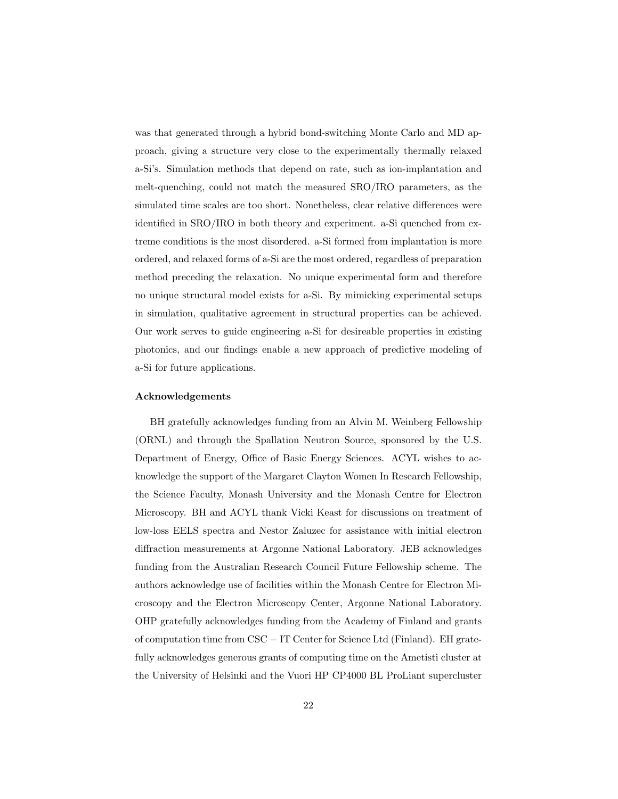was that generated through a hybrid bond-switching Monte Carlo and MD approach, giving a structure very close to the experimentally thermally relaxed a-Si's. Simulation methods that depend on rate, such as ion-implantation and melt-quenching, could not match the measured SRO/IRO parameters, as the simulated time scales are too short. Nonetheless, clear relative differences were identified in SRO/IRO in both theory and experiment. a-Si quenched from extreme conditions is the most disordered. a-Si formed from implantation is more ordered, and relaxed forms of a-Si are the most ordered, regardless of preparation method preceding the relaxation. No unique experimental form and therefore no unique structural model exists for a-Si. By mimicking experimental setups in simulation, qualitative agreement in structural properties can be achieved. Our work serves to guide engineering a-Si for desireable properties in existing photonics, and our findings enable a new approach of predictive modeling of a-Si for future applications.

#### Acknowledgements

BH gratefully acknowledges funding from an Alvin M. Weinberg Fellowship (ORNL) and through the Spallation Neutron Source, sponsored by the U.S. Department of Energy, Office of Basic Energy Sciences. ACYL wishes to acknowledge the support of the Margaret Clayton Women In Research Fellowship, the Science Faculty, Monash University and the Monash Centre for Electron Microscopy. BH and ACYL thank Vicki Keast for discussions on treatment of low-loss EELS spectra and Nestor Zaluzec for assistance with initial electron diffraction measurements at Argonne National Laboratory. JEB acknowledges funding from the Australian Research Council Future Fellowship scheme. The authors acknowledge use of facilities within the Monash Centre for Electron Microscopy and the Electron Microscopy Center, Argonne National Laboratory. OHP gratefully acknowledges funding from the Academy of Finland and grants of computation time from CSC − IT Center for Science Ltd (Finland). EH gratefully acknowledges generous grants of computing time on the Ametisti cluster at the University of Helsinki and the Vuori HP CP4000 BL ProLiant supercluster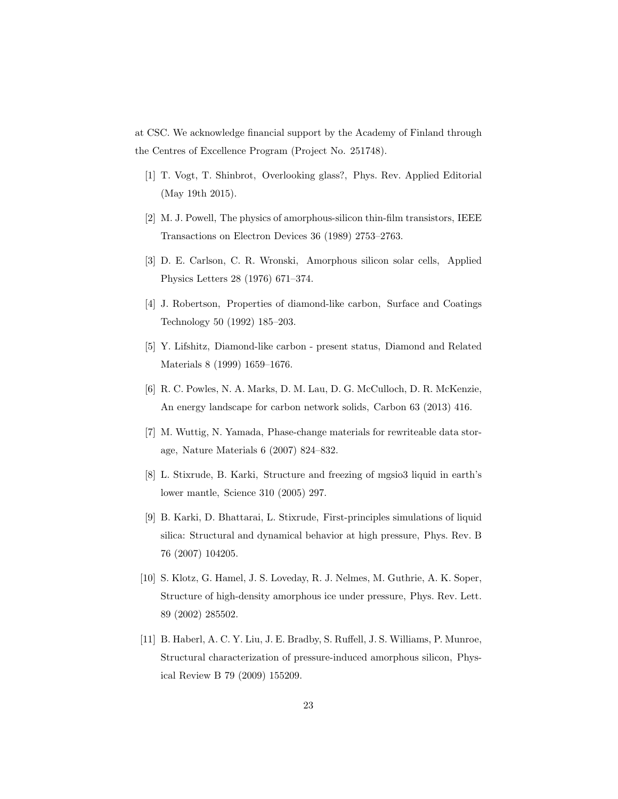at CSC. We acknowledge financial support by the Academy of Finland through the Centres of Excellence Program (Project No. 251748).

- <span id="page-22-0"></span>[1] T. Vogt, T. Shinbrot, Overlooking glass?, Phys. Rev. Applied Editorial (May 19th 2015).
- <span id="page-22-1"></span>[2] M. J. Powell, The physics of amorphous-silicon thin-film transistors, IEEE Transactions on Electron Devices 36 (1989) 2753–2763.
- <span id="page-22-2"></span>[3] D. E. Carlson, C. R. Wronski, Amorphous silicon solar cells, Applied Physics Letters 28 (1976) 671–374.
- <span id="page-22-3"></span>[4] J. Robertson, Properties of diamond-like carbon, Surface and Coatings Technology 50 (1992) 185–203.
- <span id="page-22-4"></span>[5] Y. Lifshitz, Diamond-like carbon - present status, Diamond and Related Materials 8 (1999) 1659–1676.
- <span id="page-22-5"></span>[6] R. C. Powles, N. A. Marks, D. M. Lau, D. G. McCulloch, D. R. McKenzie, An energy landscape for carbon network solids, Carbon 63 (2013) 416.
- <span id="page-22-6"></span>[7] M. Wuttig, N. Yamada, Phase-change materials for rewriteable data storage, Nature Materials 6 (2007) 824–832.
- <span id="page-22-7"></span>[8] L. Stixrude, B. Karki, Structure and freezing of mgsio3 liquid in earth's lower mantle, Science 310 (2005) 297.
- <span id="page-22-8"></span>[9] B. Karki, D. Bhattarai, L. Stixrude, First-principles simulations of liquid silica: Structural and dynamical behavior at high pressure, Phys. Rev. B 76 (2007) 104205.
- <span id="page-22-9"></span>[10] S. Klotz, G. Hamel, J. S. Loveday, R. J. Nelmes, M. Guthrie, A. K. Soper, Structure of high-density amorphous ice under pressure, Phys. Rev. Lett. 89 (2002) 285502.
- <span id="page-22-10"></span>[11] B. Haberl, A. C. Y. Liu, J. E. Bradby, S. Ruffell, J. S. Williams, P. Munroe, Structural characterization of pressure-induced amorphous silicon, Physical Review B 79 (2009) 155209.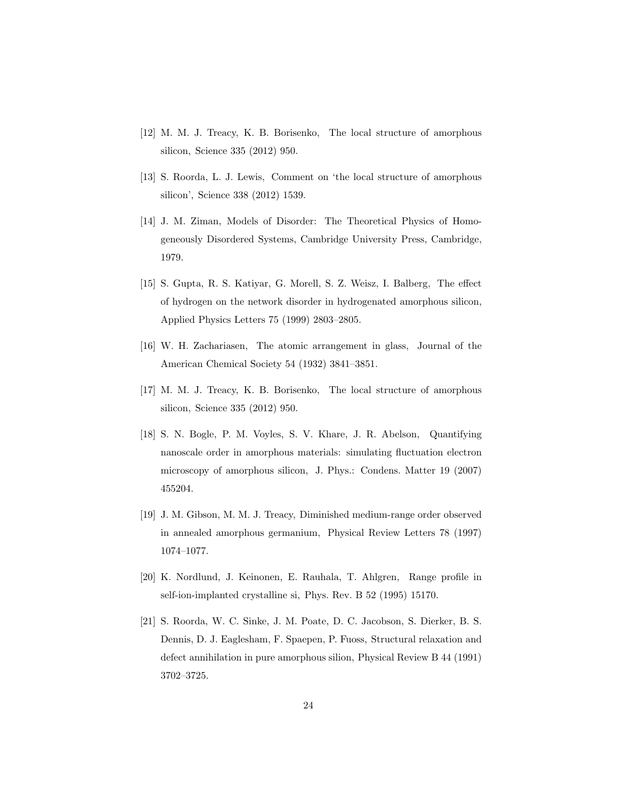- <span id="page-23-0"></span>[12] M. M. J. Treacy, K. B. Borisenko, The local structure of amorphous silicon, Science 335 (2012) 950.
- <span id="page-23-1"></span>[13] S. Roorda, L. J. Lewis, Comment on 'the local structure of amorphous silicon', Science 338 (2012) 1539.
- <span id="page-23-2"></span>[14] J. M. Ziman, Models of Disorder: The Theoretical Physics of Homogeneously Disordered Systems, Cambridge University Press, Cambridge, 1979.
- <span id="page-23-3"></span>[15] S. Gupta, R. S. Katiyar, G. Morell, S. Z. Weisz, I. Balberg, The effect of hydrogen on the network disorder in hydrogenated amorphous silicon, Applied Physics Letters 75 (1999) 2803–2805.
- <span id="page-23-4"></span>[16] W. H. Zachariasen, The atomic arrangement in glass, Journal of the American Chemical Society 54 (1932) 3841–3851.
- <span id="page-23-5"></span>[17] M. M. J. Treacy, K. B. Borisenko, The local structure of amorphous silicon, Science 335 (2012) 950.
- <span id="page-23-6"></span>[18] S. N. Bogle, P. M. Voyles, S. V. Khare, J. R. Abelson, Quantifying nanoscale order in amorphous materials: simulating fluctuation electron microscopy of amorphous silicon, J. Phys.: Condens. Matter 19 (2007) 455204.
- <span id="page-23-7"></span>[19] J. M. Gibson, M. M. J. Treacy, Diminished medium-range order observed in annealed amorphous germanium, Physical Review Letters 78 (1997) 1074–1077.
- <span id="page-23-8"></span>[20] K. Nordlund, J. Keinonen, E. Rauhala, T. Ahlgren, Range profile in self-ion-implanted crystalline si, Phys. Rev. B 52 (1995) 15170.
- <span id="page-23-9"></span>[21] S. Roorda, W. C. Sinke, J. M. Poate, D. C. Jacobson, S. Dierker, B. S. Dennis, D. J. Eaglesham, F. Spaepen, P. Fuoss, Structural relaxation and defect annihilation in pure amorphous silion, Physical Review B 44 (1991) 3702–3725.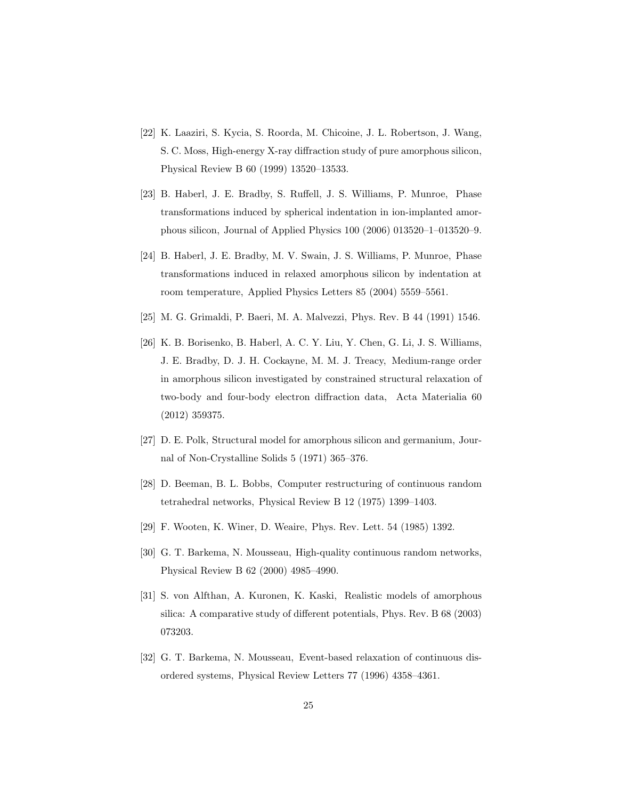- <span id="page-24-0"></span>[22] K. Laaziri, S. Kycia, S. Roorda, M. Chicoine, J. L. Robertson, J. Wang, S. C. Moss, High-energy X-ray diffraction study of pure amorphous silicon, Physical Review B 60 (1999) 13520–13533.
- <span id="page-24-1"></span>[23] B. Haberl, J. E. Bradby, S. Ruffell, J. S. Williams, P. Munroe, Phase transformations induced by spherical indentation in ion-implanted amorphous silicon, Journal of Applied Physics 100 (2006) 013520–1–013520–9.
- <span id="page-24-2"></span>[24] B. Haberl, J. E. Bradby, M. V. Swain, J. S. Williams, P. Munroe, Phase transformations induced in relaxed amorphous silicon by indentation at room temperature, Applied Physics Letters 85 (2004) 5559–5561.
- <span id="page-24-3"></span>[25] M. G. Grimaldi, P. Baeri, M. A. Malvezzi, Phys. Rev. B 44 (1991) 1546.
- <span id="page-24-4"></span>[26] K. B. Borisenko, B. Haberl, A. C. Y. Liu, Y. Chen, G. Li, J. S. Williams, J. E. Bradby, D. J. H. Cockayne, M. M. J. Treacy, Medium-range order in amorphous silicon investigated by constrained structural relaxation of two-body and four-body electron diffraction data, Acta Materialia 60 (2012) 359375.
- <span id="page-24-5"></span>[27] D. E. Polk, Structural model for amorphous silicon and germanium, Journal of Non-Crystalline Solids 5 (1971) 365–376.
- <span id="page-24-6"></span>[28] D. Beeman, B. L. Bobbs, Computer restructuring of continuous random tetrahedral networks, Physical Review B 12 (1975) 1399–1403.
- <span id="page-24-7"></span>[29] F. Wooten, K. Winer, D. Weaire, Phys. Rev. Lett. 54 (1985) 1392.
- <span id="page-24-8"></span>[30] G. T. Barkema, N. Mousseau, High-quality continuous random networks, Physical Review B 62 (2000) 4985–4990.
- <span id="page-24-9"></span>[31] S. von Alfthan, A. Kuronen, K. Kaski, Realistic models of amorphous silica: A comparative study of different potentials, Phys. Rev. B 68 (2003) 073203.
- <span id="page-24-10"></span>[32] G. T. Barkema, N. Mousseau, Event-based relaxation of continuous disordered systems, Physical Review Letters 77 (1996) 4358–4361.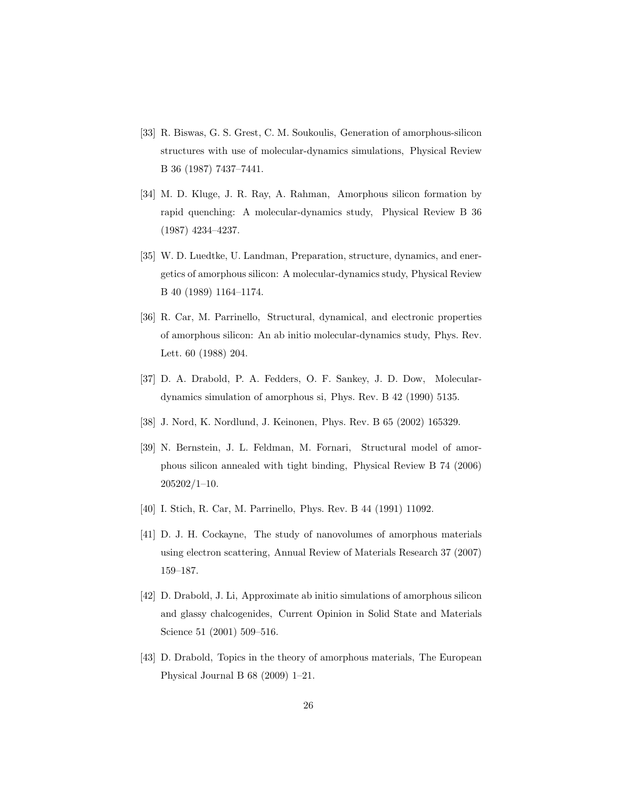- <span id="page-25-0"></span>[33] R. Biswas, G. S. Grest, C. M. Soukoulis, Generation of amorphous-silicon structures with use of molecular-dynamics simulations, Physical Review B 36 (1987) 7437–7441.
- <span id="page-25-1"></span>[34] M. D. Kluge, J. R. Ray, A. Rahman, Amorphous silicon formation by rapid quenching: A molecular-dynamics study, Physical Review B 36 (1987) 4234–4237.
- <span id="page-25-2"></span>[35] W. D. Luedtke, U. Landman, Preparation, structure, dynamics, and energetics of amorphous silicon: A molecular-dynamics study, Physical Review B 40 (1989) 1164–1174.
- <span id="page-25-3"></span>[36] R. Car, M. Parrinello, Structural, dynamical, and electronic properties of amorphous silicon: An ab initio molecular-dynamics study, Phys. Rev. Lett. 60 (1988) 204.
- <span id="page-25-4"></span>[37] D. A. Drabold, P. A. Fedders, O. F. Sankey, J. D. Dow, Moleculardynamics simulation of amorphous si, Phys. Rev. B 42 (1990) 5135.
- <span id="page-25-5"></span>[38] J. Nord, K. Nordlund, J. Keinonen, Phys. Rev. B 65 (2002) 165329.
- <span id="page-25-6"></span>[39] N. Bernstein, J. L. Feldman, M. Fornari, Structural model of amorphous silicon annealed with tight binding, Physical Review B 74 (2006) 205202/1–10.
- <span id="page-25-7"></span>[40] I. Stich, R. Car, M. Parrinello, Phys. Rev. B 44 (1991) 11092.
- <span id="page-25-8"></span>[41] D. J. H. Cockayne, The study of nanovolumes of amorphous materials using electron scattering, Annual Review of Materials Research 37 (2007) 159–187.
- <span id="page-25-9"></span>[42] D. Drabold, J. Li, Approximate ab initio simulations of amorphous silicon and glassy chalcogenides, Current Opinion in Solid State and Materials Science 51 (2001) 509–516.
- <span id="page-25-10"></span>[43] D. Drabold, Topics in the theory of amorphous materials, The European Physical Journal B 68 (2009) 1–21.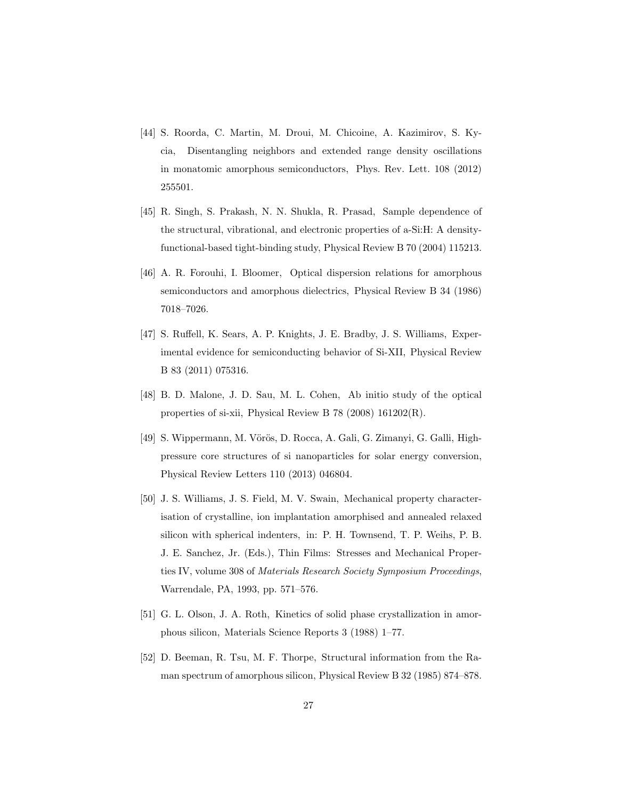- <span id="page-26-0"></span>[44] S. Roorda, C. Martin, M. Droui, M. Chicoine, A. Kazimirov, S. Kycia, Disentangling neighbors and extended range density oscillations in monatomic amorphous semiconductors, Phys. Rev. Lett. 108 (2012) 255501.
- <span id="page-26-1"></span>[45] R. Singh, S. Prakash, N. N. Shukla, R. Prasad, Sample dependence of the structural, vibrational, and electronic properties of a-Si:H: A densityfunctional-based tight-binding study, Physical Review B 70 (2004) 115213.
- <span id="page-26-2"></span>[46] A. R. Forouhi, I. Bloomer, Optical dispersion relations for amorphous semiconductors and amorphous dielectrics, Physical Review B 34 (1986) 7018–7026.
- <span id="page-26-3"></span>[47] S. Ruffell, K. Sears, A. P. Knights, J. E. Bradby, J. S. Williams, Experimental evidence for semiconducting behavior of Si-XII, Physical Review B 83 (2011) 075316.
- <span id="page-26-4"></span>[48] B. D. Malone, J. D. Sau, M. L. Cohen, Ab initio study of the optical properties of si-xii, Physical Review B 78 (2008) 161202(R).
- <span id="page-26-5"></span>[49] S. Wippermann, M. Vörös, D. Rocca, A. Gali, G. Zimanyi, G. Galli, Highpressure core structures of si nanoparticles for solar energy conversion, Physical Review Letters 110 (2013) 046804.
- <span id="page-26-6"></span>[50] J. S. Williams, J. S. Field, M. V. Swain, Mechanical property characterisation of crystalline, ion implantation amorphised and annealed relaxed silicon with spherical indenters, in: P. H. Townsend, T. P. Weihs, P. B. J. E. Sanchez, Jr. (Eds.), Thin Films: Stresses and Mechanical Properties IV, volume 308 of Materials Research Society Symposium Proceedings, Warrendale, PA, 1993, pp. 571–576.
- <span id="page-26-7"></span>[51] G. L. Olson, J. A. Roth, Kinetics of solid phase crystallization in amorphous silicon, Materials Science Reports 3 (1988) 1–77.
- <span id="page-26-8"></span>[52] D. Beeman, R. Tsu, M. F. Thorpe, Structural information from the Raman spectrum of amorphous silicon, Physical Review B 32 (1985) 874–878.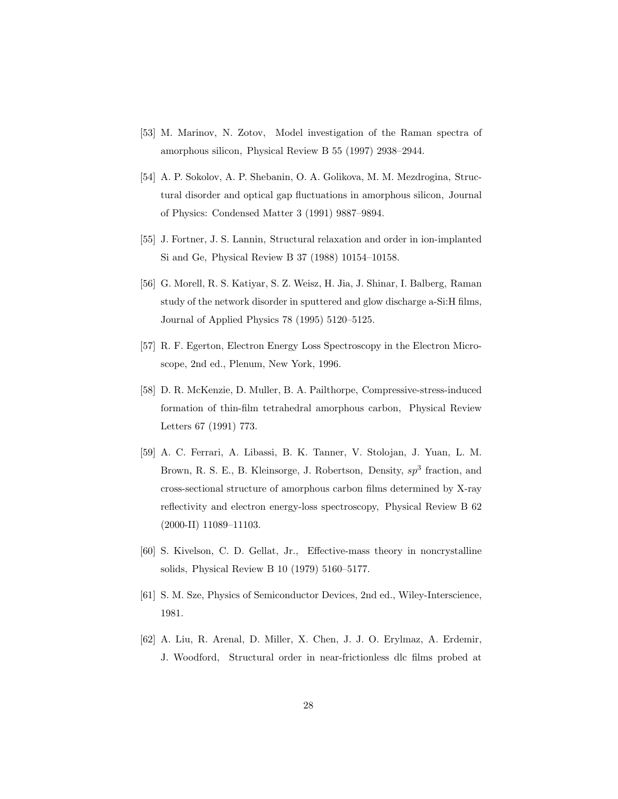- <span id="page-27-0"></span>[53] M. Marinov, N. Zotov, Model investigation of the Raman spectra of amorphous silicon, Physical Review B 55 (1997) 2938–2944.
- <span id="page-27-1"></span>[54] A. P. Sokolov, A. P. Shebanin, O. A. Golikova, M. M. Mezdrogina, Structural disorder and optical gap fluctuations in amorphous silicon, Journal of Physics: Condensed Matter 3 (1991) 9887–9894.
- <span id="page-27-2"></span>[55] J. Fortner, J. S. Lannin, Structural relaxation and order in ion-implanted Si and Ge, Physical Review B 37 (1988) 10154–10158.
- <span id="page-27-3"></span>[56] G. Morell, R. S. Katiyar, S. Z. Weisz, H. Jia, J. Shinar, I. Balberg, Raman study of the network disorder in sputtered and glow discharge a-Si:H films, Journal of Applied Physics 78 (1995) 5120–5125.
- <span id="page-27-4"></span>[57] R. F. Egerton, Electron Energy Loss Spectroscopy in the Electron Microscope, 2nd ed., Plenum, New York, 1996.
- <span id="page-27-5"></span>[58] D. R. McKenzie, D. Muller, B. A. Pailthorpe, Compressive-stress-induced formation of thin-film tetrahedral amorphous carbon, Physical Review Letters 67 (1991) 773.
- <span id="page-27-6"></span>[59] A. C. Ferrari, A. Libassi, B. K. Tanner, V. Stolojan, J. Yuan, L. M. Brown, R. S. E., B. Kleinsorge, J. Robertson, Density,  $sp^3$  fraction, and cross-sectional structure of amorphous carbon films determined by X-ray reflectivity and electron energy-loss spectroscopy, Physical Review B 62 (2000-II) 11089–11103.
- <span id="page-27-7"></span>[60] S. Kivelson, C. D. Gellat, Jr., Effective-mass theory in noncrystalline solids, Physical Review B 10 (1979) 5160–5177.
- <span id="page-27-8"></span>[61] S. M. Sze, Physics of Semiconductor Devices, 2nd ed., Wiley-Interscience, 1981.
- <span id="page-27-9"></span>[62] A. Liu, R. Arenal, D. Miller, X. Chen, J. J. O. Erylmaz, A. Erdemir, J. Woodford, Structural order in near-frictionless dlc films probed at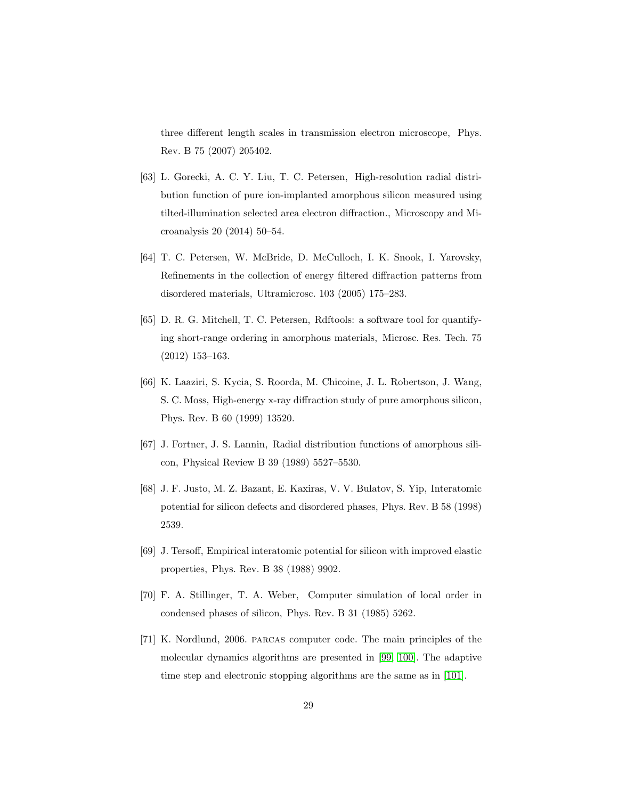three different length scales in transmission electron microscope, Phys. Rev. B 75 (2007) 205402.

- <span id="page-28-0"></span>[63] L. Gorecki, A. C. Y. Liu, T. C. Petersen, High-resolution radial distribution function of pure ion-implanted amorphous silicon measured using tilted-illumination selected area electron diffraction., Microscopy and Microanalysis 20 (2014) 50–54.
- <span id="page-28-1"></span>[64] T. C. Petersen, W. McBride, D. McCulloch, I. K. Snook, I. Yarovsky, Refinements in the collection of energy filtered diffraction patterns from disordered materials, Ultramicrosc. 103 (2005) 175–283.
- <span id="page-28-2"></span>[65] D. R. G. Mitchell, T. C. Petersen, Rdftools: a software tool for quantifying short-range ordering in amorphous materials, Microsc. Res. Tech. 75 (2012) 153–163.
- <span id="page-28-3"></span>[66] K. Laaziri, S. Kycia, S. Roorda, M. Chicoine, J. L. Robertson, J. Wang, S. C. Moss, High-energy x-ray diffraction study of pure amorphous silicon, Phys. Rev. B 60 (1999) 13520.
- <span id="page-28-4"></span>[67] J. Fortner, J. S. Lannin, Radial distribution functions of amorphous silicon, Physical Review B 39 (1989) 5527–5530.
- <span id="page-28-5"></span>[68] J. F. Justo, M. Z. Bazant, E. Kaxiras, V. V. Bulatov, S. Yip, Interatomic potential for silicon defects and disordered phases, Phys. Rev. B 58 (1998) 2539.
- <span id="page-28-6"></span>[69] J. Tersoff, Empirical interatomic potential for silicon with improved elastic properties, Phys. Rev. B 38 (1988) 9902.
- <span id="page-28-7"></span>[70] F. A. Stillinger, T. A. Weber, Computer simulation of local order in condensed phases of silicon, Phys. Rev. B 31 (1985) 5262.
- <span id="page-28-8"></span>[71] K. Nordlund, 2006. parcas computer code. The main principles of the molecular dynamics algorithms are presented in [\[99,](#page-31-8) [100\]](#page-31-9). The adaptive time step and electronic stopping algorithms are the same as in [\[101\]](#page-32-0).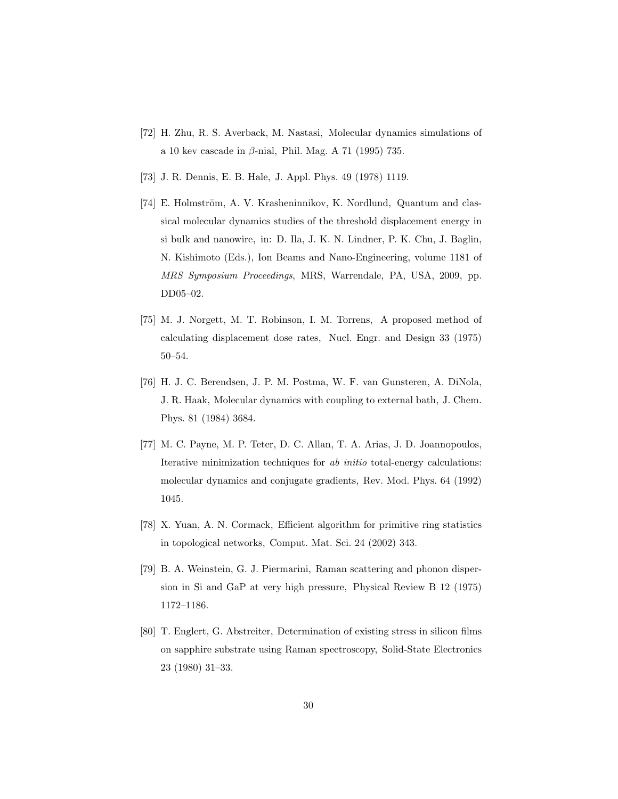- <span id="page-29-0"></span>[72] H. Zhu, R. S. Averback, M. Nastasi, Molecular dynamics simulations of a 10 kev cascade in  $\beta$ -nial, Phil. Mag. A 71 (1995) 735.
- <span id="page-29-1"></span>[73] J. R. Dennis, E. B. Hale, J. Appl. Phys. 49 (1978) 1119.
- <span id="page-29-2"></span>[74] E. Holmström, A. V. Krasheninnikov, K. Nordlund, Quantum and classical molecular dynamics studies of the threshold displacement energy in si bulk and nanowire, in: D. Ila, J. K. N. Lindner, P. K. Chu, J. Baglin, N. Kishimoto (Eds.), Ion Beams and Nano-Engineering, volume 1181 of MRS Symposium Proceedings, MRS, Warrendale, PA, USA, 2009, pp. DD05–02.
- <span id="page-29-3"></span>[75] M. J. Norgett, M. T. Robinson, I. M. Torrens, A proposed method of calculating displacement dose rates, Nucl. Engr. and Design 33 (1975) 50–54.
- <span id="page-29-4"></span>[76] H. J. C. Berendsen, J. P. M. Postma, W. F. van Gunsteren, A. DiNola, J. R. Haak, Molecular dynamics with coupling to external bath, J. Chem. Phys. 81 (1984) 3684.
- <span id="page-29-5"></span>[77] M. C. Payne, M. P. Teter, D. C. Allan, T. A. Arias, J. D. Joannopoulos, Iterative minimization techniques for ab initio total-energy calculations: molecular dynamics and conjugate gradients, Rev. Mod. Phys. 64 (1992) 1045.
- <span id="page-29-6"></span>[78] X. Yuan, A. N. Cormack, Efficient algorithm for primitive ring statistics in topological networks, Comput. Mat. Sci. 24 (2002) 343.
- <span id="page-29-7"></span>[79] B. A. Weinstein, G. J. Piermarini, Raman scattering and phonon dispersion in Si and GaP at very high pressure, Physical Review B 12 (1975) 1172–1186.
- <span id="page-29-8"></span>[80] T. Englert, G. Abstreiter, Determination of existing stress in silicon films on sapphire substrate using Raman spectroscopy, Solid-State Electronics 23 (1980) 31–33.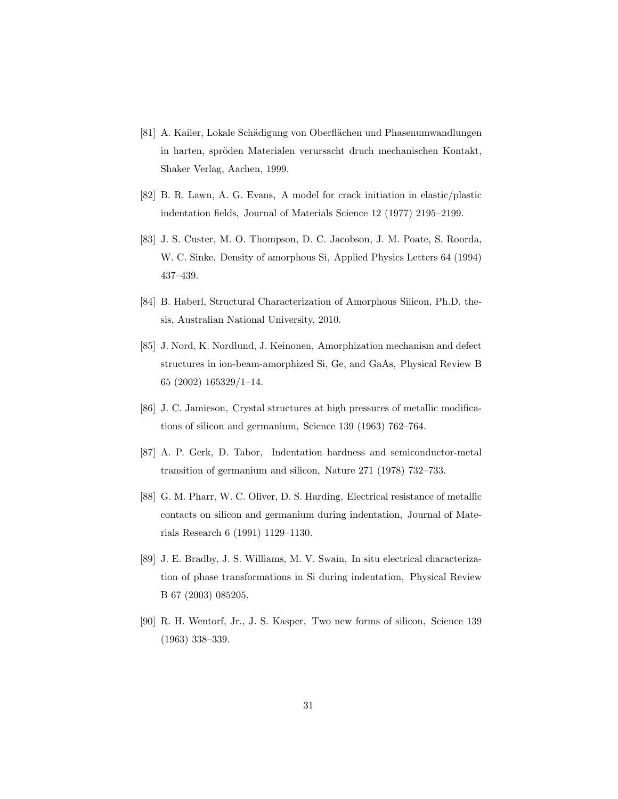- <span id="page-30-0"></span>[81] A. Kailer, Lokale Schädigung von Oberflächen und Phasenumwandlungen in harten, spröden Materialen verursacht druch mechanischen Kontakt, Shaker Verlag, Aachen, 1999.
- <span id="page-30-1"></span>[82] B. R. Lawn, A. G. Evans, A model for crack initiation in elastic/plastic indentation fields, Journal of Materials Science 12 (1977) 2195–2199.
- <span id="page-30-2"></span>[83] J. S. Custer, M. O. Thompson, D. C. Jacobson, J. M. Poate, S. Roorda, W. C. Sinke, Density of amorphous Si, Applied Physics Letters 64 (1994) 437–439.
- <span id="page-30-3"></span>[84] B. Haberl, Structural Characterization of Amorphous Silicon, Ph.D. thesis, Australian National University, 2010.
- <span id="page-30-4"></span>[85] J. Nord, K. Nordlund, J. Keinonen, Amorphization mechanism and defect structures in ion-beam-amorphized Si, Ge, and GaAs, Physical Review B 65 (2002) 165329/1–14.
- <span id="page-30-5"></span>[86] J. C. Jamieson, Crystal structures at high pressures of metallic modifications of silicon and germanium, Science 139 (1963) 762–764.
- <span id="page-30-6"></span>[87] A. P. Gerk, D. Tabor, Indentation hardness and semiconductor-metal transition of germanium and silicon, Nature 271 (1978) 732–733.
- <span id="page-30-7"></span>[88] G. M. Pharr, W. C. Oliver, D. S. Harding, Electrical resistance of metallic contacts on silicon and germanium during indentation, Journal of Materials Research 6 (1991) 1129–1130.
- <span id="page-30-8"></span>[89] J. E. Bradby, J. S. Williams, M. V. Swain, In situ electrical characterization of phase transformations in Si during indentation, Physical Review B 67 (2003) 085205.
- <span id="page-30-9"></span>[90] R. H. Wentorf, Jr., J. S. Kasper, Two new forms of silicon, Science 139 (1963) 338–339.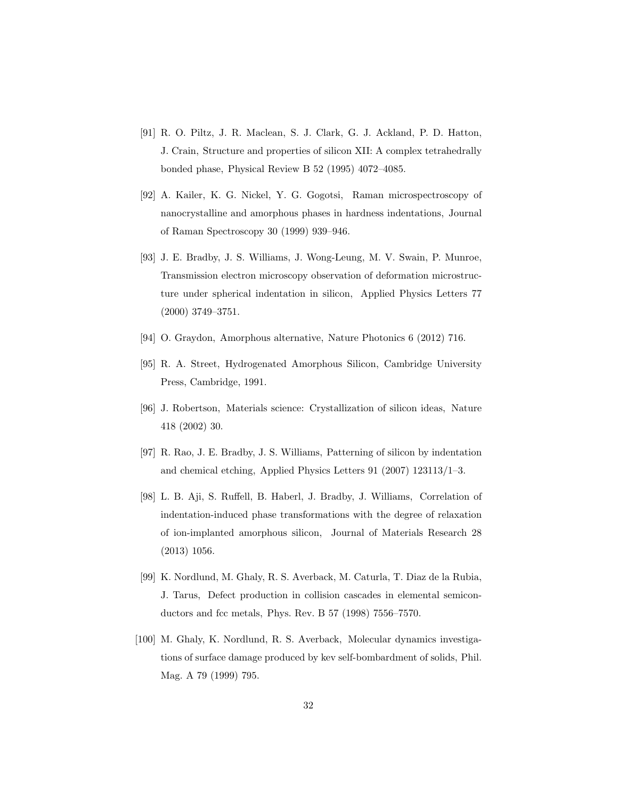- <span id="page-31-0"></span>[91] R. O. Piltz, J. R. Maclean, S. J. Clark, G. J. Ackland, P. D. Hatton, J. Crain, Structure and properties of silicon XII: A complex tetrahedrally bonded phase, Physical Review B 52 (1995) 4072–4085.
- <span id="page-31-1"></span>[92] A. Kailer, K. G. Nickel, Y. G. Gogotsi, Raman microspectroscopy of nanocrystalline and amorphous phases in hardness indentations, Journal of Raman Spectroscopy 30 (1999) 939–946.
- <span id="page-31-2"></span>[93] J. E. Bradby, J. S. Williams, J. Wong-Leung, M. V. Swain, P. Munroe, Transmission electron microscopy observation of deformation microstructure under spherical indentation in silicon, Applied Physics Letters 77 (2000) 3749–3751.
- <span id="page-31-3"></span>[94] O. Graydon, Amorphous alternative, Nature Photonics 6 (2012) 716.
- <span id="page-31-4"></span>[95] R. A. Street, Hydrogenated Amorphous Silicon, Cambridge University Press, Cambridge, 1991.
- <span id="page-31-5"></span>[96] J. Robertson, Materials science: Crystallization of silicon ideas, Nature 418 (2002) 30.
- <span id="page-31-6"></span>[97] R. Rao, J. E. Bradby, J. S. Williams, Patterning of silicon by indentation and chemical etching, Applied Physics Letters 91 (2007) 123113/1–3.
- <span id="page-31-7"></span>[98] L. B. Aji, S. Ruffell, B. Haberl, J. Bradby, J. Williams, Correlation of indentation-induced phase transformations with the degree of relaxation of ion-implanted amorphous silicon, Journal of Materials Research 28 (2013) 1056.
- <span id="page-31-8"></span>[99] K. Nordlund, M. Ghaly, R. S. Averback, M. Caturla, T. Diaz de la Rubia, J. Tarus, Defect production in collision cascades in elemental semiconductors and fcc metals, Phys. Rev. B 57 (1998) 7556–7570.
- <span id="page-31-9"></span>[100] M. Ghaly, K. Nordlund, R. S. Averback, Molecular dynamics investigations of surface damage produced by kev self-bombardment of solids, Phil. Mag. A 79 (1999) 795.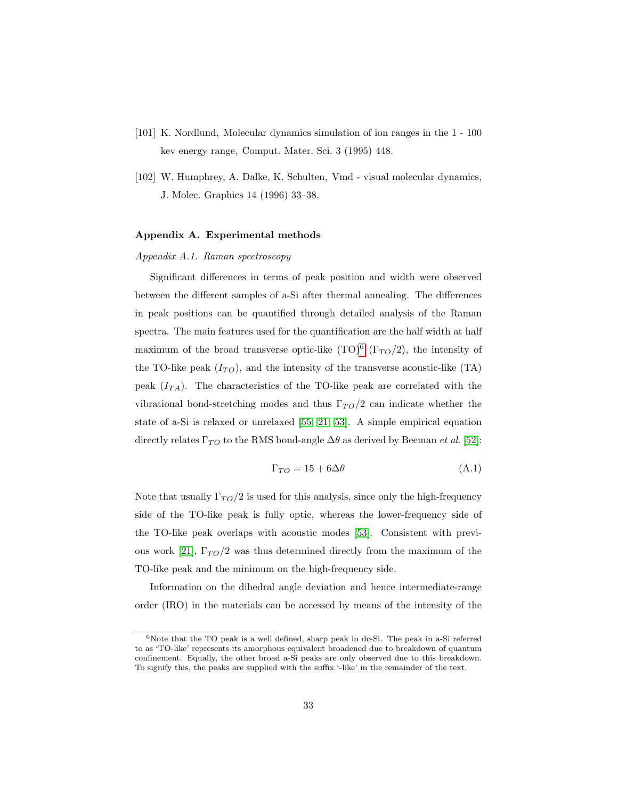- <span id="page-32-0"></span>[101] K. Nordlund, Molecular dynamics simulation of ion ranges in the 1 - 100 kev energy range, Comput. Mater. Sci. 3 (1995) 448.
- <span id="page-32-2"></span>[102] W. Humphrey, A. Dalke, K. Schulten, Vmd - visual molecular dynamics, J. Molec. Graphics 14 (1996) 33–38.

### Appendix A. Experimental methods

### Appendix A.1. Raman spectroscopy

Significant differences in terms of peak position and width were observed between the different samples of a-Si after thermal annealing. The differences in peak positions can be quantified through detailed analysis of the Raman spectra. The main features used for the quantification are the half width at half maximum of the broad transverse optic-like  $(TO)^6$  $(TO)^6$   $(\Gamma_{TO}/2)$ , the intensity of the TO-like peak  $(I_{TO})$ , and the intensity of the transverse acoustic-like (TA) peak  $(I_{TA})$ . The characteristics of the TO-like peak are correlated with the vibrational bond-stretching modes and thus  $\Gamma_{TO}/2$  can indicate whether the state of a-Si is relaxed or unrelaxed [\[55,](#page-27-2) [21,](#page-23-9) [53\]](#page-27-0). A simple empirical equation directly relates  $\Gamma_{TO}$  to the RMS bond-angle  $\Delta\theta$  as derived by Beeman *et al.* [\[52\]](#page-26-8):

$$
\Gamma_{TO} = 15 + 6\Delta\theta \tag{A.1}
$$

Note that usually  $\Gamma_{TO}/2$  is used for this analysis, since only the high-frequency side of the TO-like peak is fully optic, whereas the lower-frequency side of the TO-like peak overlaps with acoustic modes [\[53\]](#page-27-0). Consistent with previ-ous work [\[21\]](#page-23-9),  $\Gamma_{TO}/2$  was thus determined directly from the maximum of the TO-like peak and the minimum on the high-frequency side.

Information on the dihedral angle deviation and hence intermediate-range order (IRO) in the materials can be accessed by means of the intensity of the

<span id="page-32-1"></span> $6$ Note that the TO peak is a well defined, sharp peak in dc-Si. The peak in a-Si referred to as 'TO-like' represents its amorphous equivalent broadened due to breakdown of quantum confinement. Equally, the other broad a-Si peaks are only observed due to this breakdown. To signify this, the peaks are supplied with the suffix '-like' in the remainder of the text.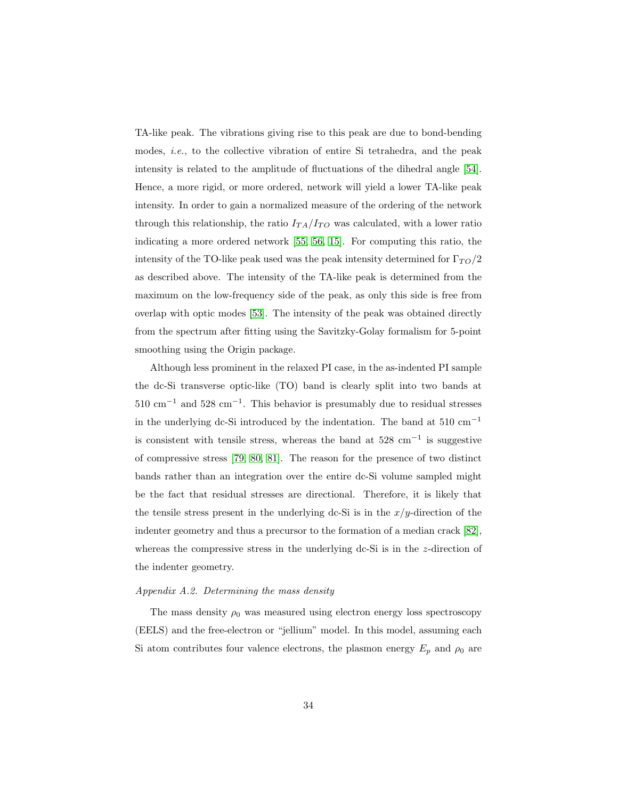TA-like peak. The vibrations giving rise to this peak are due to bond-bending modes, i.e., to the collective vibration of entire Si tetrahedra, and the peak intensity is related to the amplitude of fluctuations of the dihedral angle [\[54\]](#page-27-1). Hence, a more rigid, or more ordered, network will yield a lower TA-like peak intensity. In order to gain a normalized measure of the ordering of the network through this relationship, the ratio  $I_{TA}/I_{TO}$  was calculated, with a lower ratio indicating a more ordered network [\[55,](#page-27-2) [56,](#page-27-3) [15\]](#page-23-3). For computing this ratio, the intensity of the TO-like peak used was the peak intensity determined for  $\Gamma_{TO}/2$ as described above. The intensity of the TA-like peak is determined from the maximum on the low-frequency side of the peak, as only this side is free from overlap with optic modes [\[53\]](#page-27-0). The intensity of the peak was obtained directly from the spectrum after fitting using the Savitzky-Golay formalism for 5-point smoothing using the Origin package.

Although less prominent in the relaxed PI case, in the as-indented PI sample the dc-Si transverse optic-like (TO) band is clearly split into two bands at  $510 \text{ cm}^{-1}$  and  $528 \text{ cm}^{-1}$ . This behavior is presumably due to residual stresses in the underlying dc-Si introduced by the indentation. The band at 510  $\rm cm^{-1}$ is consistent with tensile stress, whereas the band at 528 cm<sup>−</sup><sup>1</sup> is suggestive of compressive stress [\[79,](#page-29-7) [80,](#page-29-8) [81\]](#page-30-0). The reason for the presence of two distinct bands rather than an integration over the entire dc-Si volume sampled might be the fact that residual stresses are directional. Therefore, it is likely that the tensile stress present in the underlying dc-Si is in the  $x/y$ -direction of the indenter geometry and thus a precursor to the formation of a median crack [\[82\]](#page-30-1), whereas the compressive stress in the underlying dc-Si is in the z-direction of the indenter geometry.

#### Appendix A.2. Determining the mass density

The mass density  $\rho_0$  was measured using electron energy loss spectroscopy (EELS) and the free-electron or "jellium" model. In this model, assuming each Si atom contributes four valence electrons, the plasmon energy  $E_p$  and  $\rho_0$  are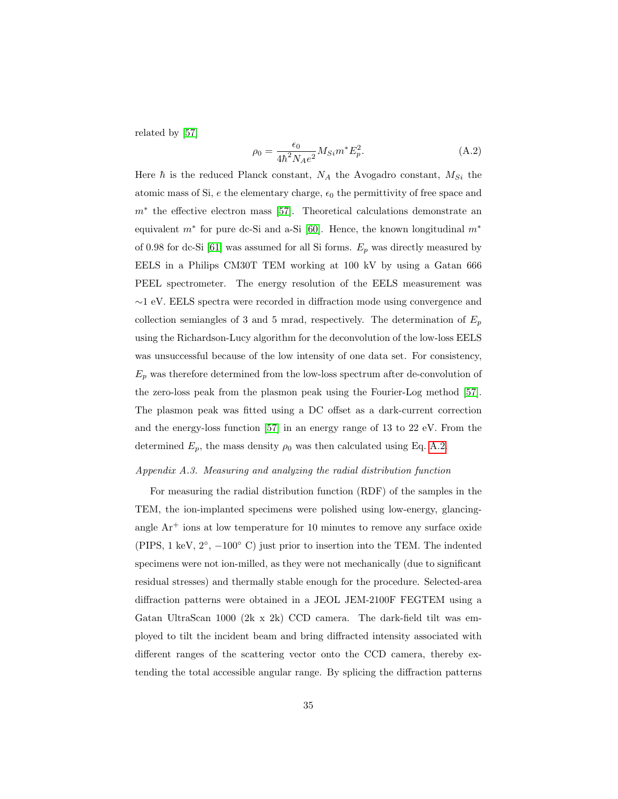related by [\[57\]](#page-27-4)

<span id="page-34-0"></span>
$$
\rho_0 = \frac{\epsilon_0}{4\hbar^2 N_A e^2} M_{Si} m^* E_p^2.
$$
\n(A.2)

Here  $\hbar$  is the reduced Planck constant,  $N_A$  the Avogadro constant,  $M_{Si}$  the atomic mass of Si,  $e$  the elementary charge,  $\epsilon_0$  the permittivity of free space and m<sup>∗</sup> the effective electron mass [\[57\]](#page-27-4). Theoretical calculations demonstrate an equivalent  $m^*$  for pure dc-Si and a-Si [\[60\]](#page-27-7). Hence, the known longitudinal  $m^*$ of 0.98 for dc-Si [\[61\]](#page-27-8) was assumed for all Si forms.  $E_p$  was directly measured by EELS in a Philips CM30T TEM working at 100 kV by using a Gatan 666 PEEL spectrometer. The energy resolution of the EELS measurement was ∼1 eV. EELS spectra were recorded in diffraction mode using convergence and collection semiangles of 3 and 5 mrad, respectively. The determination of  $E_p$ using the Richardson-Lucy algorithm for the deconvolution of the low-loss EELS was unsuccessful because of the low intensity of one data set. For consistency,  $E_p$  was therefore determined from the low-loss spectrum after de-convolution of the zero-loss peak from the plasmon peak using the Fourier-Log method [\[57\]](#page-27-4). The plasmon peak was fitted using a DC offset as a dark-current correction and the energy-loss function [\[57\]](#page-27-4) in an energy range of 13 to 22 eV. From the determined  $E_p$ , the mass density  $\rho_0$  was then calculated using Eq. [A.2.](#page-34-0)

#### Appendix A.3. Measuring and analyzing the radial distribution function

For measuring the radial distribution function (RDF) of the samples in the TEM, the ion-implanted specimens were polished using low-energy, glancingangle  $Ar<sup>+</sup>$  ions at low temperature for 10 minutes to remove any surface oxide (PIPS, 1 keV,  $2^{\circ}$ ,  $-100^{\circ}$  C) just prior to insertion into the TEM. The indented specimens were not ion-milled, as they were not mechanically (due to significant residual stresses) and thermally stable enough for the procedure. Selected-area diffraction patterns were obtained in a JEOL JEM-2100F FEGTEM using a Gatan UltraScan 1000 (2k x 2k) CCD camera. The dark-field tilt was employed to tilt the incident beam and bring diffracted intensity associated with different ranges of the scattering vector onto the CCD camera, thereby extending the total accessible angular range. By splicing the diffraction patterns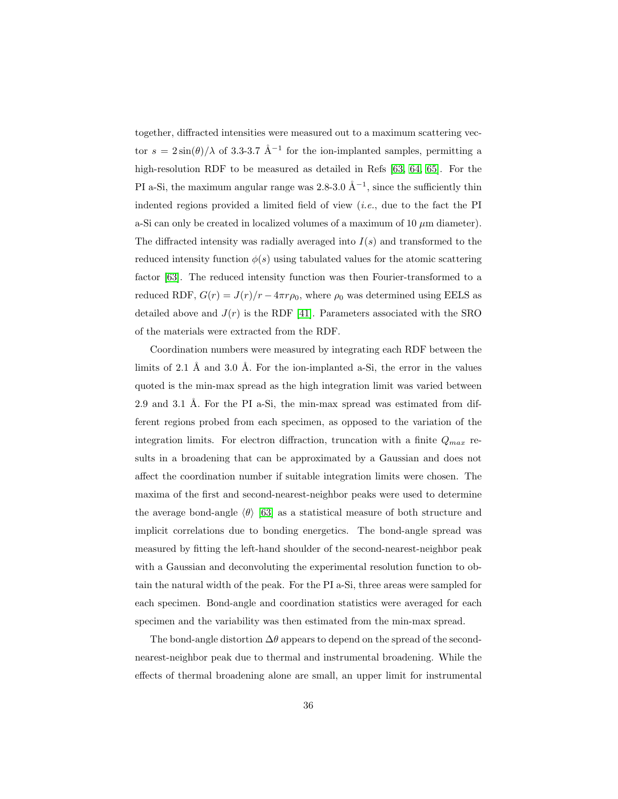together, diffracted intensities were measured out to a maximum scattering vector  $s = 2\sin(\theta)/\lambda$  of 3.3-3.7 Å<sup>-1</sup> for the ion-implanted samples, permitting a high-resolution RDF to be measured as detailed in Refs [\[63,](#page-28-0) [64,](#page-28-1) [65\]](#page-28-2). For the PI a-Si, the maximum angular range was 2.8-3.0  $\AA^{-1}$ , since the sufficiently thin indented regions provided a limited field of view  $(i.e.,$  due to the fact the PI a-Si can only be created in localized volumes of a maximum of 10  $\mu$ m diameter). The diffracted intensity was radially averaged into  $I(s)$  and transformed to the reduced intensity function  $\phi(s)$  using tabulated values for the atomic scattering factor [\[63\]](#page-28-0). The reduced intensity function was then Fourier-transformed to a reduced RDF,  $G(r) = J(r)/r - 4\pi r \rho_0$ , where  $\rho_0$  was determined using EELS as detailed above and  $J(r)$  is the RDF [\[41\]](#page-25-8). Parameters associated with the SRO of the materials were extracted from the RDF.

Coordination numbers were measured by integrating each RDF between the limits of 2.1 Å and 3.0 Å. For the ion-implanted a-Si, the error in the values quoted is the min-max spread as the high integration limit was varied between 2.9 and 3.1 Å. For the PI a-Si, the min-max spread was estimated from different regions probed from each specimen, as opposed to the variation of the integration limits. For electron diffraction, truncation with a finite  $Q_{max}$  results in a broadening that can be approximated by a Gaussian and does not affect the coordination number if suitable integration limits were chosen. The maxima of the first and second-nearest-neighbor peaks were used to determine the average bond-angle  $\langle \theta \rangle$  [\[63\]](#page-28-0) as a statistical measure of both structure and implicit correlations due to bonding energetics. The bond-angle spread was measured by fitting the left-hand shoulder of the second-nearest-neighbor peak with a Gaussian and deconvoluting the experimental resolution function to obtain the natural width of the peak. For the PI a-Si, three areas were sampled for each specimen. Bond-angle and coordination statistics were averaged for each specimen and the variability was then estimated from the min-max spread.

The bond-angle distortion  $\Delta\theta$  appears to depend on the spread of the secondnearest-neighbor peak due to thermal and instrumental broadening. While the effects of thermal broadening alone are small, an upper limit for instrumental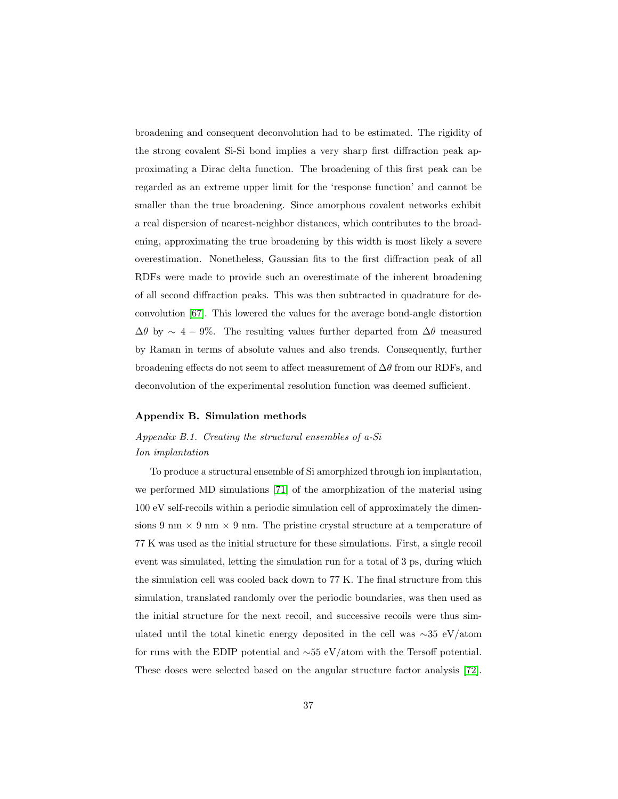broadening and consequent deconvolution had to be estimated. The rigidity of the strong covalent Si-Si bond implies a very sharp first diffraction peak approximating a Dirac delta function. The broadening of this first peak can be regarded as an extreme upper limit for the 'response function' and cannot be smaller than the true broadening. Since amorphous covalent networks exhibit a real dispersion of nearest-neighbor distances, which contributes to the broadening, approximating the true broadening by this width is most likely a severe overestimation. Nonetheless, Gaussian fits to the first diffraction peak of all RDFs were made to provide such an overestimate of the inherent broadening of all second diffraction peaks. This was then subtracted in quadrature for deconvolution [\[67\]](#page-28-4). This lowered the values for the average bond-angle distortion  $\Delta\theta$  by  $\sim 4-9\%$ . The resulting values further departed from  $\Delta\theta$  measured by Raman in terms of absolute values and also trends. Consequently, further broadening effects do not seem to affect measurement of  $\Delta\theta$  from our RDFs, and deconvolution of the experimental resolution function was deemed sufficient.

### Appendix B. Simulation methods

# Appendix B.1. Creating the structural ensembles of a-Si Ion implantation

To produce a structural ensemble of Si amorphized through ion implantation, we performed MD simulations [\[71\]](#page-28-8) of the amorphization of the material using 100 eV self-recoils within a periodic simulation cell of approximately the dimensions 9 nm  $\times$  9 nm  $\times$  9 nm. The pristine crystal structure at a temperature of 77 K was used as the initial structure for these simulations. First, a single recoil event was simulated, letting the simulation run for a total of 3 ps, during which the simulation cell was cooled back down to 77 K. The final structure from this simulation, translated randomly over the periodic boundaries, was then used as the initial structure for the next recoil, and successive recoils were thus simulated until the total kinetic energy deposited in the cell was ∼35 eV/atom for runs with the EDIP potential and ∼55 eV/atom with the Tersoff potential. These doses were selected based on the angular structure factor analysis [\[72\]](#page-29-0).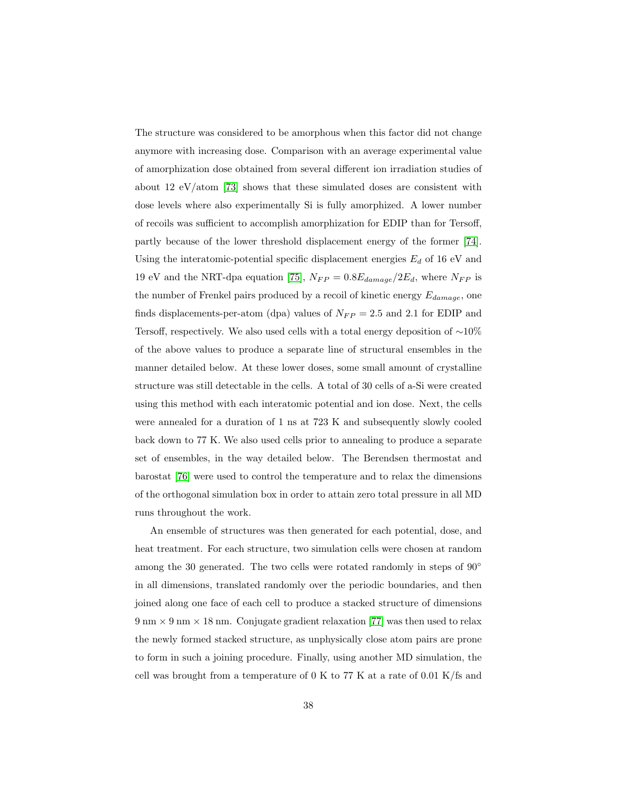The structure was considered to be amorphous when this factor did not change anymore with increasing dose. Comparison with an average experimental value of amorphization dose obtained from several different ion irradiation studies of about 12 eV/atom [\[73\]](#page-29-1) shows that these simulated doses are consistent with dose levels where also experimentally Si is fully amorphized. A lower number of recoils was sufficient to accomplish amorphization for EDIP than for Tersoff, partly because of the lower threshold displacement energy of the former [\[74\]](#page-29-2). Using the interatomic-potential specific displacement energies  $E_d$  of 16 eV and 19 eV and the NRT-dpa equation [\[75\]](#page-29-3),  $N_{FP} = 0.8E_{damage}/2E_d$ , where  $N_{FP}$  is the number of Frenkel pairs produced by a recoil of kinetic energy  $E_{damage}$ , one finds displacements-per-atom (dpa) values of  $N_{FP} = 2.5$  and 2.1 for EDIP and Tersoff, respectively. We also used cells with a total energy deposition of  $\sim$ 10% of the above values to produce a separate line of structural ensembles in the manner detailed below. At these lower doses, some small amount of crystalline structure was still detectable in the cells. A total of 30 cells of a-Si were created using this method with each interatomic potential and ion dose. Next, the cells were annealed for a duration of 1 ns at 723 K and subsequently slowly cooled back down to 77 K. We also used cells prior to annealing to produce a separate set of ensembles, in the way detailed below. The Berendsen thermostat and barostat [\[76\]](#page-29-4) were used to control the temperature and to relax the dimensions of the orthogonal simulation box in order to attain zero total pressure in all MD runs throughout the work.

An ensemble of structures was then generated for each potential, dose, and heat treatment. For each structure, two simulation cells were chosen at random among the 30 generated. The two cells were rotated randomly in steps of  $90^{\circ}$ in all dimensions, translated randomly over the periodic boundaries, and then joined along one face of each cell to produce a stacked structure of dimensions  $9 \text{ nm} \times 9 \text{ nm} \times 18 \text{ nm}$ . Conjugate gradient relaxation [\[77\]](#page-29-5) was then used to relax the newly formed stacked structure, as unphysically close atom pairs are prone to form in such a joining procedure. Finally, using another MD simulation, the cell was brought from a temperature of 0 K to 77 K at a rate of 0.01 K/fs and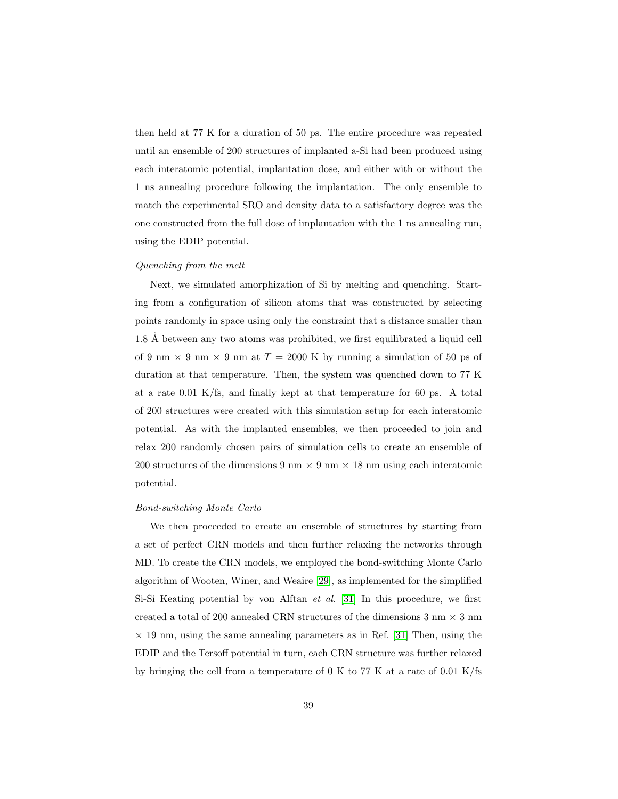then held at 77 K for a duration of 50 ps. The entire procedure was repeated until an ensemble of 200 structures of implanted a-Si had been produced using each interatomic potential, implantation dose, and either with or without the 1 ns annealing procedure following the implantation. The only ensemble to match the experimental SRO and density data to a satisfactory degree was the one constructed from the full dose of implantation with the 1 ns annealing run, using the EDIP potential.

### Quenching from the melt

Next, we simulated amorphization of Si by melting and quenching. Starting from a configuration of silicon atoms that was constructed by selecting points randomly in space using only the constraint that a distance smaller than 1.8 Å between any two atoms was prohibited, we first equilibrated a liquid cell of 9 nm  $\times$  9 nm  $\times$  9 nm at  $T = 2000$  K by running a simulation of 50 ps of duration at that temperature. Then, the system was quenched down to 77 K at a rate 0.01 K/fs, and finally kept at that temperature for 60 ps. A total of 200 structures were created with this simulation setup for each interatomic potential. As with the implanted ensembles, we then proceeded to join and relax 200 randomly chosen pairs of simulation cells to create an ensemble of 200 structures of the dimensions 9 nm  $\times$  9 nm  $\times$  18 nm using each interatomic potential.

#### Bond-switching Monte Carlo

We then proceeded to create an ensemble of structures by starting from a set of perfect CRN models and then further relaxing the networks through MD. To create the CRN models, we employed the bond-switching Monte Carlo algorithm of Wooten, Winer, and Weaire [\[29\]](#page-24-7), as implemented for the simplified Si-Si Keating potential by von Alftan et al. [\[31\]](#page-24-9) In this procedure, we first created a total of 200 annealed CRN structures of the dimensions  $3 \text{ nm} \times 3 \text{ nm}$  $\times$  19 nm, using the same annealing parameters as in Ref. [\[31\]](#page-24-9) Then, using the EDIP and the Tersoff potential in turn, each CRN structure was further relaxed by bringing the cell from a temperature of 0 K to 77 K at a rate of 0.01 K/fs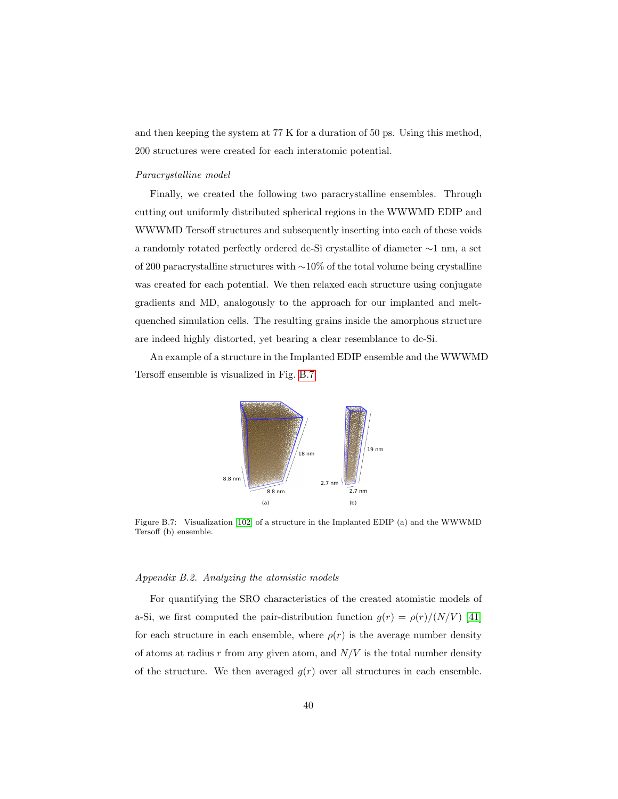and then keeping the system at 77 K for a duration of 50 ps. Using this method, 200 structures were created for each interatomic potential.

#### Paracrystalline model

Finally, we created the following two paracrystalline ensembles. Through cutting out uniformly distributed spherical regions in the WWWMD EDIP and WWWMD Tersoff structures and subsequently inserting into each of these voids a randomly rotated perfectly ordered dc-Si crystallite of diameter ∼1 nm, a set of 200 paracrystalline structures with ∼10% of the total volume being crystalline was created for each potential. We then relaxed each structure using conjugate gradients and MD, analogously to the approach for our implanted and meltquenched simulation cells. The resulting grains inside the amorphous structure are indeed highly distorted, yet bearing a clear resemblance to dc-Si.

An example of a structure in the Implanted EDIP ensemble and the WWWMD Tersoff ensemble is visualized in Fig. [B.7.](#page-39-0)



<span id="page-39-0"></span>Figure B.7: Visualization [\[102\]](#page-32-2) of a structure in the Implanted EDIP (a) and the WWWMD Tersoff (b) ensemble.

#### Appendix B.2. Analyzing the atomistic models

For quantifying the SRO characteristics of the created atomistic models of a-Si, we first computed the pair-distribution function  $g(r) = \rho(r)/(N/V)$  [\[41\]](#page-25-8) for each structure in each ensemble, where  $\rho(r)$  is the average number density of atoms at radius  $r$  from any given atom, and  $N/V$  is the total number density of the structure. We then averaged  $g(r)$  over all structures in each ensemble.